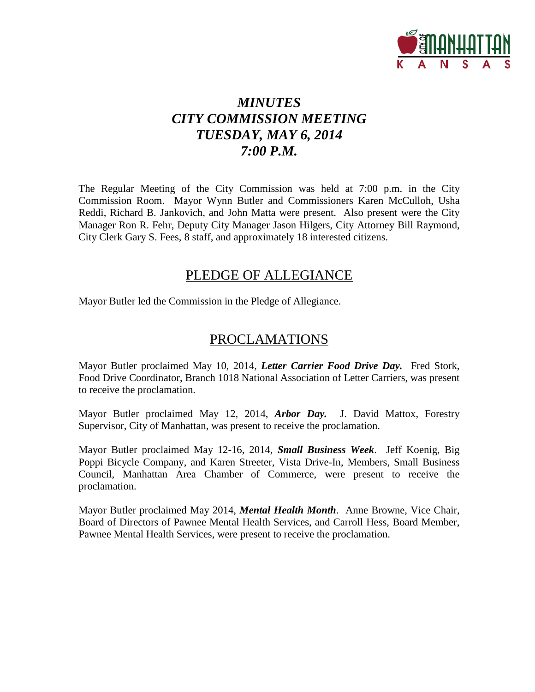

# *MINUTES CITY COMMISSION MEETING TUESDAY, MAY 6, 2014 7:00 P.M.*

The Regular Meeting of the City Commission was held at 7:00 p.m. in the City Commission Room. Mayor Wynn Butler and Commissioners Karen McCulloh, Usha Reddi, Richard B. Jankovich, and John Matta were present. Also present were the City Manager Ron R. Fehr, Deputy City Manager Jason Hilgers, City Attorney Bill Raymond, City Clerk Gary S. Fees, 8 staff, and approximately 18 interested citizens.

# PLEDGE OF ALLEGIANCE

Mayor Butler led the Commission in the Pledge of Allegiance.

# PROCLAMATIONS

Mayor Butler proclaimed May 10, 2014, *Letter Carrier Food Drive Day.* Fred Stork, Food Drive Coordinator, Branch 1018 National Association of Letter Carriers, was present to receive the proclamation.

Mayor Butler proclaimed May 12, 2014, *Arbor Day.* J. David Mattox, Forestry Supervisor, City of Manhattan, was present to receive the proclamation.

Mayor Butler proclaimed May 12-16, 2014, *Small Business Week*. Jeff Koenig, Big Poppi Bicycle Company, and Karen Streeter, Vista Drive-In, Members, Small Business Council, Manhattan Area Chamber of Commerce, were present to receive the proclamation.

Mayor Butler proclaimed May 2014, *Mental Health Month*. Anne Browne, Vice Chair, Board of Directors of Pawnee Mental Health Services, and Carroll Hess, Board Member, Pawnee Mental Health Services, were present to receive the proclamation.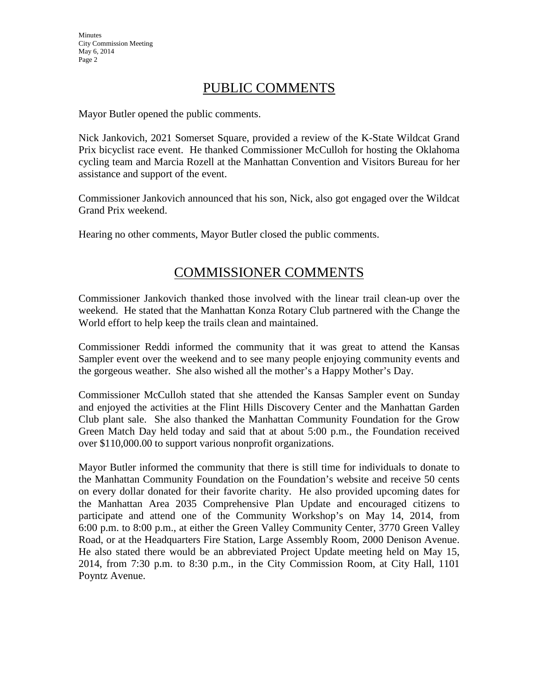# PUBLIC COMMENTS

Mayor Butler opened the public comments.

Nick Jankovich, 2021 Somerset Square, provided a review of the K-State Wildcat Grand Prix bicyclist race event. He thanked Commissioner McCulloh for hosting the Oklahoma cycling team and Marcia Rozell at the Manhattan Convention and Visitors Bureau for her assistance and support of the event.

Commissioner Jankovich announced that his son, Nick, also got engaged over the Wildcat Grand Prix weekend.

Hearing no other comments, Mayor Butler closed the public comments.

# COMMISSIONER COMMENTS

Commissioner Jankovich thanked those involved with the linear trail clean-up over the weekend. He stated that the Manhattan Konza Rotary Club partnered with the Change the World effort to help keep the trails clean and maintained.

Commissioner Reddi informed the community that it was great to attend the Kansas Sampler event over the weekend and to see many people enjoying community events and the gorgeous weather. She also wished all the mother's a Happy Mother's Day.

Commissioner McCulloh stated that she attended the Kansas Sampler event on Sunday and enjoyed the activities at the Flint Hills Discovery Center and the Manhattan Garden Club plant sale. She also thanked the Manhattan Community Foundation for the Grow Green Match Day held today and said that at about 5:00 p.m., the Foundation received over \$110,000.00 to support various nonprofit organizations.

Mayor Butler informed the community that there is still time for individuals to donate to the Manhattan Community Foundation on the Foundation's website and receive 50 cents on every dollar donated for their favorite charity. He also provided upcoming dates for the Manhattan Area 2035 Comprehensive Plan Update and encouraged citizens to participate and attend one of the Community Workshop's on May 14, 2014, from 6:00 p.m. to 8:00 p.m., at either the Green Valley Community Center, 3770 Green Valley Road, or at the Headquarters Fire Station, Large Assembly Room, 2000 Denison Avenue. He also stated there would be an abbreviated Project Update meeting held on May 15, 2014, from 7:30 p.m. to 8:30 p.m., in the City Commission Room, at City Hall, 1101 Poyntz Avenue.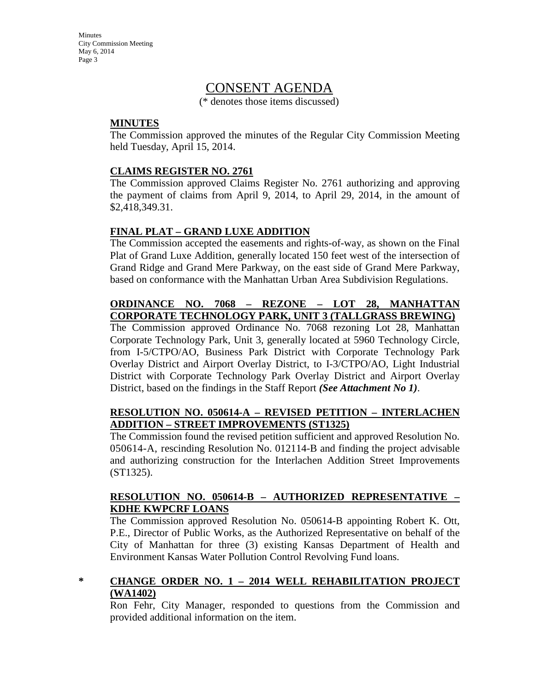# CONSENT AGENDA

(\* denotes those items discussed)

### **MINUTES**

The Commission approved the minutes of the Regular City Commission Meeting held Tuesday, April 15, 2014.

### **CLAIMS REGISTER NO. 2761**

The Commission approved Claims Register No. 2761 authorizing and approving the payment of claims from April 9, 2014, to April 29, 2014, in the amount of \$2,418,349.31.

# **FINAL PLAT – GRAND LUXE ADDITION**

The Commission accepted the easements and rights-of-way, as shown on the Final Plat of Grand Luxe Addition, generally located 150 feet west of the intersection of Grand Ridge and Grand Mere Parkway, on the east side of Grand Mere Parkway, based on conformance with the Manhattan Urban Area Subdivision Regulations.

### **ORDINANCE NO. 7068 – REZONE – LOT 28, MANHATTAN CORPORATE TECHNOLOGY PARK, UNIT 3 (TALLGRASS BREWING)**

The Commission approved Ordinance No. 7068 rezoning Lot 28, Manhattan Corporate Technology Park, Unit 3, generally located at 5960 Technology Circle, from I-5/CTPO/AO, Business Park District with Corporate Technology Park Overlay District and Airport Overlay District, to I-3/CTPO/AO, Light Industrial District with Corporate Technology Park Overlay District and Airport Overlay District, based on the findings in the Staff Report *(See Attachment No 1)*.

# **RESOLUTION NO. 050614-A – REVISED PETITION – INTERLACHEN ADDITION – STREET IMPROVEMENTS (ST1325)**

The Commission found the revised petition sufficient and approved Resolution No. 050614-A, rescinding Resolution No. 012114-B and finding the project advisable and authorizing construction for the Interlachen Addition Street Improvements (ST1325).

### **RESOLUTION NO. 050614-B – AUTHORIZED REPRESENTATIVE – KDHE KWPCRF LOANS**

The Commission approved Resolution No. 050614-B appointing Robert K. Ott, P.E., Director of Public Works, as the Authorized Representative on behalf of the City of Manhattan for three (3) existing Kansas Department of Health and Environment Kansas Water Pollution Control Revolving Fund loans.

# **\* CHANGE ORDER NO. 1 – 2014 WELL REHABILITATION PROJECT (WA1402)**

Ron Fehr, City Manager, responded to questions from the Commission and provided additional information on the item.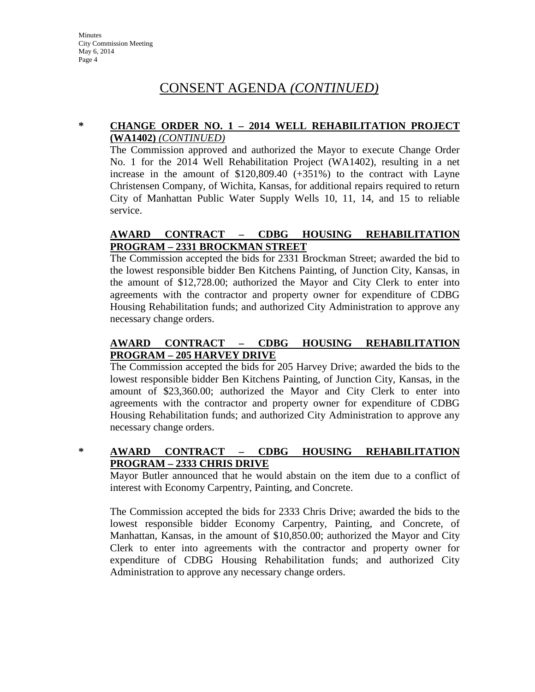# CONSENT AGENDA *(CONTINUED)*

### **\* CHANGE ORDER NO. 1 – 2014 WELL REHABILITATION PROJECT (WA1402)** *(CONTINUED)*

The Commission approved and authorized the Mayor to execute Change Order No. 1 for the 2014 Well Rehabilitation Project (WA1402), resulting in a net increase in the amount of \$120,809.40 (+351%) to the contract with Layne Christensen Company, of Wichita, Kansas, for additional repairs required to return City of Manhattan Public Water Supply Wells 10, 11, 14, and 15 to reliable service.

# **AWARD CONTRACT – CDBG HOUSING REHABILITATION PROGRAM – 2331 BROCKMAN STREET**

The Commission accepted the bids for 2331 Brockman Street; awarded the bid to the lowest responsible bidder Ben Kitchens Painting, of Junction City, Kansas, in the amount of \$12,728.00; authorized the Mayor and City Clerk to enter into agreements with the contractor and property owner for expenditure of CDBG Housing Rehabilitation funds; and authorized City Administration to approve any necessary change orders.

# **AWARD CONTRACT – CDBG HOUSING REHABILITATION PROGRAM – 205 HARVEY DRIVE**

The Commission accepted the bids for 205 Harvey Drive; awarded the bids to the lowest responsible bidder Ben Kitchens Painting, of Junction City, Kansas, in the amount of \$23,360.00; authorized the Mayor and City Clerk to enter into agreements with the contractor and property owner for expenditure of CDBG Housing Rehabilitation funds; and authorized City Administration to approve any necessary change orders.

# **\* AWARD CONTRACT – CDBG HOUSING REHABILITATION PROGRAM – 2333 CHRIS DRIVE**

Mayor Butler announced that he would abstain on the item due to a conflict of interest with Economy Carpentry, Painting, and Concrete.

The Commission accepted the bids for 2333 Chris Drive; awarded the bids to the lowest responsible bidder Economy Carpentry, Painting, and Concrete, of Manhattan, Kansas, in the amount of \$10,850.00; authorized the Mayor and City Clerk to enter into agreements with the contractor and property owner for expenditure of CDBG Housing Rehabilitation funds; and authorized City Administration to approve any necessary change orders.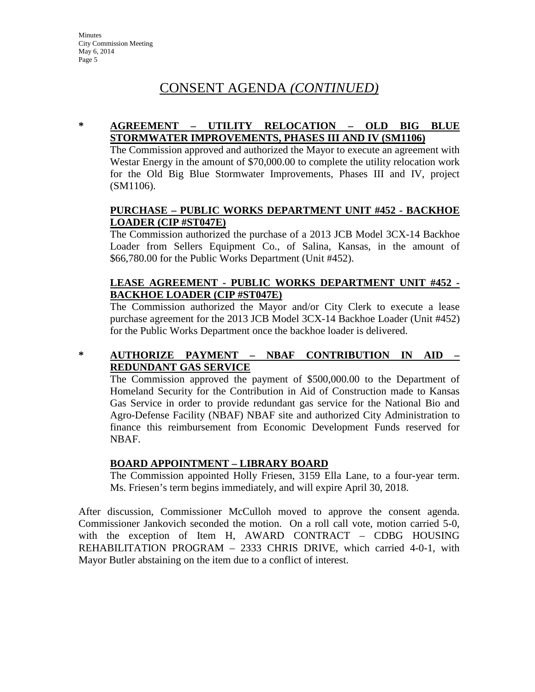# CONSENT AGENDA *(CONTINUED)*

### **\* AGREEMENT – UTILITY RELOCATION – OLD BIG BLUE STORMWATER IMPROVEMENTS, PHASES III AND IV (SM1106)**

The Commission approved and authorized the Mayor to execute an agreement with Westar Energy in the amount of \$70,000.00 to complete the utility relocation work for the Old Big Blue Stormwater Improvements, Phases III and IV, project (SM1106).

### **PURCHASE – PUBLIC WORKS DEPARTMENT UNIT #452 - BACKHOE LOADER (CIP #ST047E)**

The Commission authorized the purchase of a 2013 JCB Model 3CX-14 Backhoe Loader from Sellers Equipment Co., of Salina, Kansas, in the amount of \$66,780.00 for the Public Works Department (Unit #452).

# **LEASE AGREEMENT - PUBLIC WORKS DEPARTMENT UNIT #452 - BACKHOE LOADER (CIP #ST047E)**

The Commission authorized the Mayor and/or City Clerk to execute a lease purchase agreement for the 2013 JCB Model 3CX-14 Backhoe Loader (Unit #452) for the Public Works Department once the backhoe loader is delivered.

# **\* AUTHORIZE PAYMENT – NBAF CONTRIBUTION IN AID – REDUNDANT GAS SERVICE**

The Commission approved the payment of \$500,000.00 to the Department of Homeland Security for the Contribution in Aid of Construction made to Kansas Gas Service in order to provide redundant gas service for the National Bio and Agro-Defense Facility (NBAF) NBAF site and authorized City Administration to finance this reimbursement from Economic Development Funds reserved for NBAF.

# **BOARD APPOINTMENT – LIBRARY BOARD**

The Commission appointed Holly Friesen, 3159 Ella Lane, to a four-year term. Ms. Friesen's term begins immediately, and will expire April 30, 2018.

After discussion, Commissioner McCulloh moved to approve the consent agenda. Commissioner Jankovich seconded the motion. On a roll call vote, motion carried 5-0, with the exception of Item H, AWARD CONTRACT – CDBG HOUSING REHABILITATION PROGRAM – 2333 CHRIS DRIVE, which carried 4-0-1, with Mayor Butler abstaining on the item due to a conflict of interest.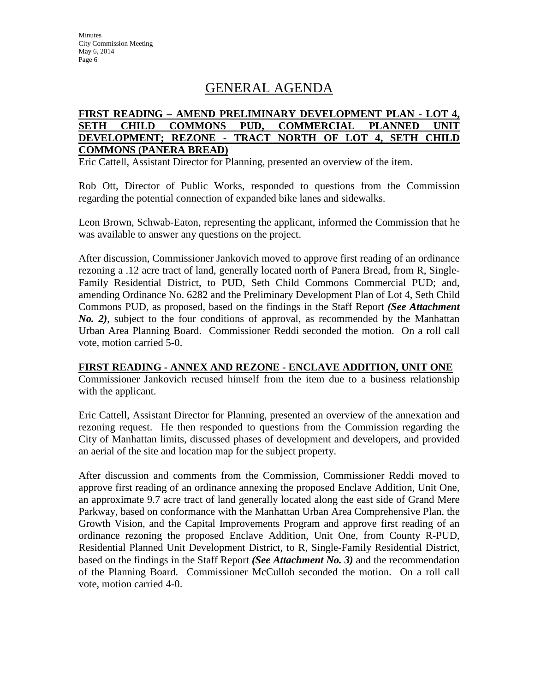# GENERAL AGENDA

### **FIRST READING – AMEND PRELIMINARY DEVELOPMENT PLAN - LOT 4, SETH CHILD COMMONS PUD, COMMERCIAL PLANNED UNIT DEVELOPMENT; REZONE - TRACT NORTH OF LOT 4, SETH CHILD COMMONS (PANERA BREAD)**

Eric Cattell, Assistant Director for Planning, presented an overview of the item.

Rob Ott, Director of Public Works, responded to questions from the Commission regarding the potential connection of expanded bike lanes and sidewalks.

Leon Brown, Schwab-Eaton, representing the applicant, informed the Commission that he was available to answer any questions on the project.

After discussion, Commissioner Jankovich moved to approve first reading of an ordinance rezoning a .12 acre tract of land, generally located north of Panera Bread, from R, Single-Family Residential District, to PUD, Seth Child Commons Commercial PUD; and, amending Ordinance No. 6282 and the Preliminary Development Plan of Lot 4, Seth Child Commons PUD, as proposed, based on the findings in the Staff Report *(See Attachment No. 2)*, subject to the four conditions of approval, as recommended by the Manhattan Urban Area Planning Board. Commissioner Reddi seconded the motion. On a roll call vote, motion carried 5-0.

### **FIRST READING - ANNEX AND REZONE - ENCLAVE ADDITION, UNIT ONE**

Commissioner Jankovich recused himself from the item due to a business relationship with the applicant.

Eric Cattell, Assistant Director for Planning, presented an overview of the annexation and rezoning request. He then responded to questions from the Commission regarding the City of Manhattan limits, discussed phases of development and developers, and provided an aerial of the site and location map for the subject property.

After discussion and comments from the Commission, Commissioner Reddi moved to approve first reading of an ordinance annexing the proposed Enclave Addition, Unit One, an approximate 9.7 acre tract of land generally located along the east side of Grand Mere Parkway, based on conformance with the Manhattan Urban Area Comprehensive Plan, the Growth Vision, and the Capital Improvements Program and approve first reading of an ordinance rezoning the proposed Enclave Addition, Unit One, from County R-PUD, Residential Planned Unit Development District, to R, Single-Family Residential District, based on the findings in the Staff Report *(See Attachment No. 3)* and the recommendation of the Planning Board. Commissioner McCulloh seconded the motion. On a roll call vote, motion carried 4-0.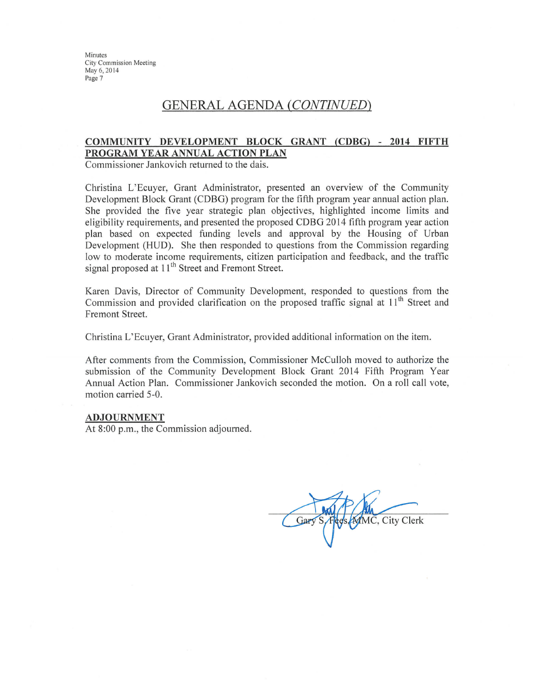# **GENERAL AGENDA (CONTINUED)**

#### COMMUNITY DEVELOPMENT BLOCK GRANT (CDBG) - 2014 FIFTH PROGRAM YEAR ANNUAL ACTION PLAN

Commissioner Jankovich returned to the dais.

Christina L'Ecuyer, Grant Administrator, presented an overview of the Community Development Block Grant (CDBG) program for the fifth program year annual action plan. She provided the five year strategic plan objectives, highlighted income limits and eligibility requirements, and presented the proposed CDBG 2014 fifth program year action plan based on expected funding levels and approval by the Housing of Urban Development (HUD). She then responded to questions from the Commission regarding low to moderate income requirements, citizen participation and feedback, and the traffic signal proposed at 11<sup>th</sup> Street and Fremont Street.

Karen Davis, Director of Community Development, responded to questions from the Commission and provided clarification on the proposed traffic signal at 11<sup>th</sup> Street and Fremont Street.

Christina L'Ecuyer, Grant Administrator, provided additional information on the item.

After comments from the Commission, Commissioner McCulloh moved to authorize the submission of the Community Development Block Grant 2014 Fifth Program Year Annual Action Plan. Commissioner Jankovich seconded the motion. On a roll call vote, motion carried 5-0.

#### **ADJOURNMENT**

At 8:00 p.m., the Commission adjourned.

Gar **MMC, City Clerk**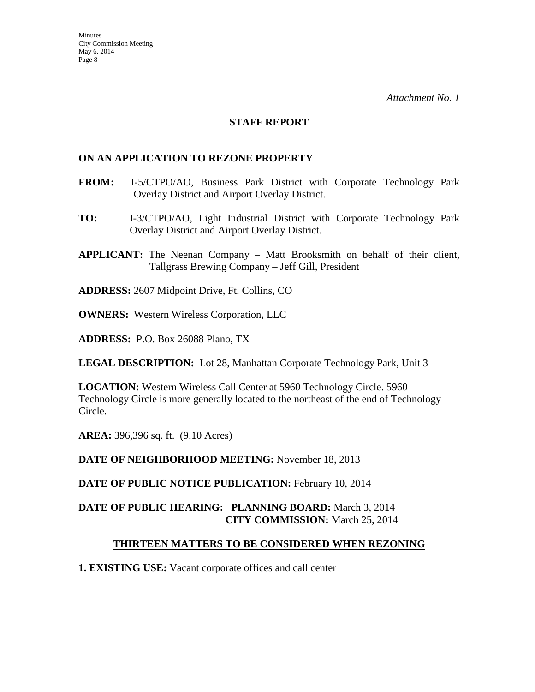### **STAFF REPORT**

### **ON AN APPLICATION TO REZONE PROPERTY**

- **FROM:** I-5/CTPO/AO, Business Park District with Corporate Technology Park Overlay District and Airport Overlay District.
- **TO:** I-3/CTPO/AO, Light Industrial District with Corporate Technology Park Overlay District and Airport Overlay District.
- **APPLICANT:** The Neenan Company Matt Brooksmith on behalf of their client, Tallgrass Brewing Company – Jeff Gill, President
- **ADDRESS:** 2607 Midpoint Drive, Ft. Collins, CO
- **OWNERS:** Western Wireless Corporation, LLC
- **ADDRESS:** P.O. Box 26088 Plano, TX

**LEGAL DESCRIPTION:** Lot 28, Manhattan Corporate Technology Park, Unit 3

**LOCATION:** Western Wireless Call Center at 5960 Technology Circle. 5960 Technology Circle is more generally located to the northeast of the end of Technology Circle.

**AREA:** 396,396 sq. ft. (9.10 Acres)

**DATE OF NEIGHBORHOOD MEETING:** November 18, 2013

DATE OF PUBLIC NOTICE PUBLICATION: February 10, 2014

# **DATE OF PUBLIC HEARING: PLANNING BOARD:** March 3, 2014 **CITY COMMISSION:** March 25, 2014

# **THIRTEEN MATTERS TO BE CONSIDERED WHEN REZONING**

**1. EXISTING USE:** Vacant corporate offices and call center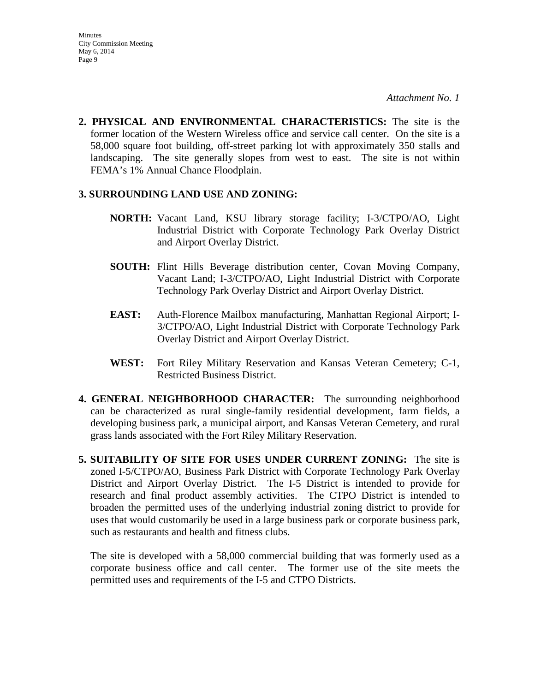**2. PHYSICAL AND ENVIRONMENTAL CHARACTERISTICS:** The site is the former location of the Western Wireless office and service call center. On the site is a 58,000 square foot building, off-street parking lot with approximately 350 stalls and landscaping. The site generally slopes from west to east. The site is not within FEMA's 1% Annual Chance Floodplain.

### **3. SURROUNDING LAND USE AND ZONING:**

- **NORTH:** Vacant Land, KSU library storage facility; I-3/CTPO/AO, Light Industrial District with Corporate Technology Park Overlay District and Airport Overlay District.
- **SOUTH:** Flint Hills Beverage distribution center, Covan Moving Company, Vacant Land; I-3/CTPO/AO, Light Industrial District with Corporate Technology Park Overlay District and Airport Overlay District.
- **EAST:** Auth-Florence Mailbox manufacturing, Manhattan Regional Airport; I-3/CTPO/AO, Light Industrial District with Corporate Technology Park Overlay District and Airport Overlay District.
- **WEST:** Fort Riley Military Reservation and Kansas Veteran Cemetery; C-1, Restricted Business District.
- **4. GENERAL NEIGHBORHOOD CHARACTER:** The surrounding neighborhood can be characterized as rural single-family residential development, farm fields, a developing business park, a municipal airport, and Kansas Veteran Cemetery, and rural grass lands associated with the Fort Riley Military Reservation.
- **5. SUITABILITY OF SITE FOR USES UNDER CURRENT ZONING:** The site is zoned I-5/CTPO/AO, Business Park District with Corporate Technology Park Overlay District and Airport Overlay District. The I-5 District is intended to provide for research and final product assembly activities. The CTPO District is intended to broaden the permitted uses of the underlying industrial zoning district to provide for uses that would customarily be used in a large business park or corporate business park, such as restaurants and health and fitness clubs.

The site is developed with a 58,000 commercial building that was formerly used as a corporate business office and call center. The former use of the site meets the permitted uses and requirements of the I-5 and CTPO Districts.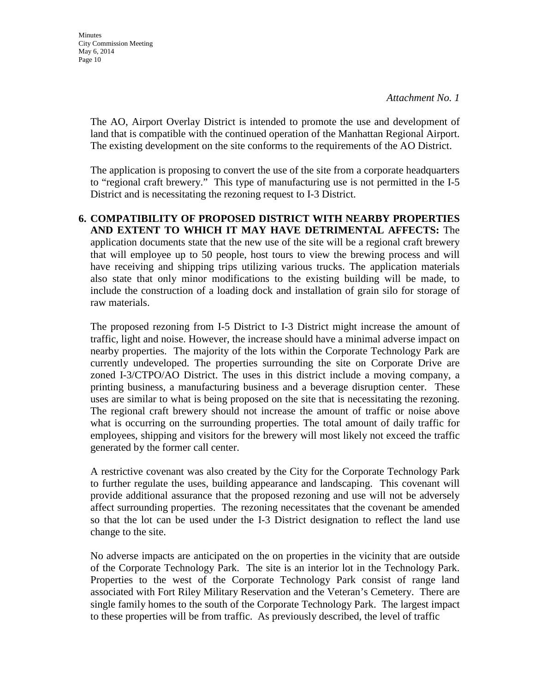**Minutes** City Commission Meeting May 6, 2014 Page 10

> The AO, Airport Overlay District is intended to promote the use and development of land that is compatible with the continued operation of the Manhattan Regional Airport. The existing development on the site conforms to the requirements of the AO District.

> The application is proposing to convert the use of the site from a corporate headquarters to "regional craft brewery." This type of manufacturing use is not permitted in the I-5 District and is necessitating the rezoning request to I-3 District.

**6. COMPATIBILITY OF PROPOSED DISTRICT WITH NEARBY PROPERTIES AND EXTENT TO WHICH IT MAY HAVE DETRIMENTAL AFFECTS:** The application documents state that the new use of the site will be a regional craft brewery that will employee up to 50 people, host tours to view the brewing process and will have receiving and shipping trips utilizing various trucks. The application materials also state that only minor modifications to the existing building will be made, to include the construction of a loading dock and installation of grain silo for storage of raw materials.

The proposed rezoning from I-5 District to I-3 District might increase the amount of traffic, light and noise. However, the increase should have a minimal adverse impact on nearby properties. The majority of the lots within the Corporate Technology Park are currently undeveloped. The properties surrounding the site on Corporate Drive are zoned I-3/CTPO/AO District. The uses in this district include a moving company, a printing business, a manufacturing business and a beverage disruption center. These uses are similar to what is being proposed on the site that is necessitating the rezoning. The regional craft brewery should not increase the amount of traffic or noise above what is occurring on the surrounding properties. The total amount of daily traffic for employees, shipping and visitors for the brewery will most likely not exceed the traffic generated by the former call center.

A restrictive covenant was also created by the City for the Corporate Technology Park to further regulate the uses, building appearance and landscaping. This covenant will provide additional assurance that the proposed rezoning and use will not be adversely affect surrounding properties. The rezoning necessitates that the covenant be amended so that the lot can be used under the I-3 District designation to reflect the land use change to the site.

No adverse impacts are anticipated on the on properties in the vicinity that are outside of the Corporate Technology Park. The site is an interior lot in the Technology Park. Properties to the west of the Corporate Technology Park consist of range land associated with Fort Riley Military Reservation and the Veteran's Cemetery. There are single family homes to the south of the Corporate Technology Park. The largest impact to these properties will be from traffic. As previously described, the level of traffic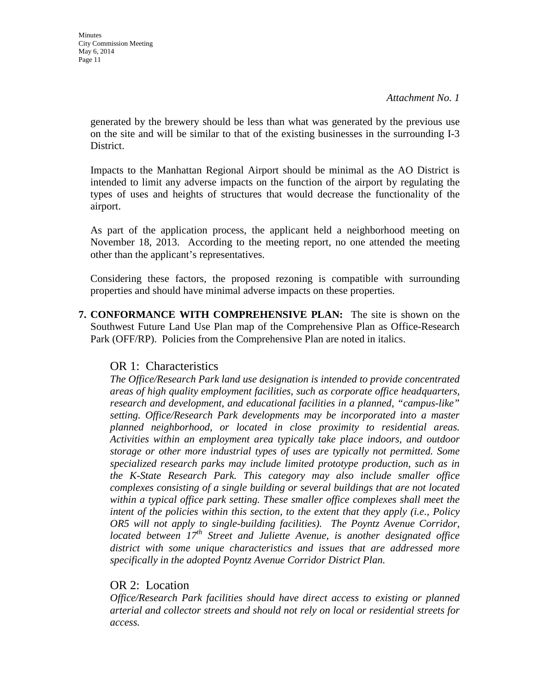generated by the brewery should be less than what was generated by the previous use on the site and will be similar to that of the existing businesses in the surrounding I-3 District.

Impacts to the Manhattan Regional Airport should be minimal as the AO District is intended to limit any adverse impacts on the function of the airport by regulating the types of uses and heights of structures that would decrease the functionality of the airport.

As part of the application process, the applicant held a neighborhood meeting on November 18, 2013. According to the meeting report, no one attended the meeting other than the applicant's representatives.

Considering these factors, the proposed rezoning is compatible with surrounding properties and should have minimal adverse impacts on these properties.

**7. CONFORMANCE WITH COMPREHENSIVE PLAN:** The site is shown on the Southwest Future Land Use Plan map of the Comprehensive Plan as Office-Research Park (OFF/RP). Policies from the Comprehensive Plan are noted in italics.

# OR 1: Characteristics

*The Office/Research Park land use designation is intended to provide concentrated areas of high quality employment facilities, such as corporate office headquarters, research and development, and educational facilities in a planned, "campus-like" setting. Office/Research Park developments may be incorporated into a master planned neighborhood, or located in close proximity to residential areas. Activities within an employment area typically take place indoors, and outdoor storage or other more industrial types of uses are typically not permitted. Some specialized research parks may include limited prototype production, such as in the K-State Research Park. This category may also include smaller office complexes consisting of a single building or several buildings that are not located within a typical office park setting. These smaller office complexes shall meet the intent of the policies within this section, to the extent that they apply (i.e., Policy OR5 will not apply to single-building facilities). The Poyntz Avenue Corridor, located between 17th Street and Juliette Avenue, is another designated office district with some unique characteristics and issues that are addressed more specifically in the adopted Poyntz Avenue Corridor District Plan.* 

# OR 2: Location

*Office/Research Park facilities should have direct access to existing or planned arterial and collector streets and should not rely on local or residential streets for access.*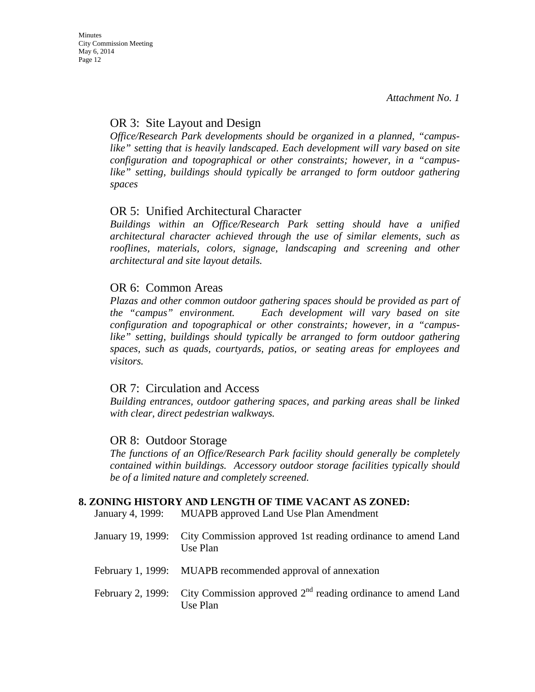# OR 3: Site Layout and Design

*Office/Research Park developments should be organized in a planned, "campus*like" setting that is heavily landscaped. Each development will vary based on site *configuration and topographical or other constraints; however, in a "campuslike" setting, buildings should typically be arranged to form outdoor gathering spaces*

# OR 5: Unified Architectural Character

*Buildings within an Office/Research Park setting should have a unified architectural character achieved through the use of similar elements, such as rooflines, materials, colors, signage, landscaping and screening and other architectural and site layout details.* 

# OR 6: Common Areas

*Plazas and other common outdoor gathering spaces should be provided as part of the "campus" environment. Each development will vary based on site configuration and topographical or other constraints; however, in a "campuslike" setting, buildings should typically be arranged to form outdoor gathering spaces, such as quads, courtyards, patios, or seating areas for employees and visitors.* 

# OR 7: Circulation and Access

*Building entrances, outdoor gathering spaces, and parking areas shall be linked with clear, direct pedestrian walkways.* 

# OR 8: Outdoor Storage

*The functions of an Office/Research Park facility should generally be completely contained within buildings. Accessory outdoor storage facilities typically should be of a limited nature and completely screened.* 

# **8. ZONING HISTORY AND LENGTH OF TIME VACANT AS ZONED:**

January 4, 1999: MUAPB approved Land Use Plan Amendment

| January 19, 1999: City Commission approved 1st reading ordinance to amend Land<br>Use Plan   |
|----------------------------------------------------------------------------------------------|
| February 1, 1999: MUAPB recommended approval of annexation                                   |
| February 2, 1999: City Commission approved $2nd$ reading ordinance to amend Land<br>Use Plan |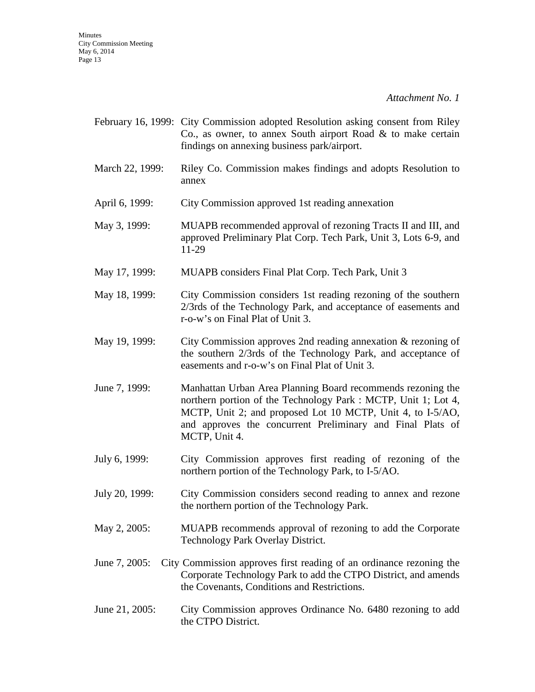|                 | February 16, 1999: City Commission adopted Resolution asking consent from Riley<br>Co., as owner, to annex South airport Road $\&$ to make certain<br>findings on annexing business park/airport.                                                                          |
|-----------------|----------------------------------------------------------------------------------------------------------------------------------------------------------------------------------------------------------------------------------------------------------------------------|
| March 22, 1999: | Riley Co. Commission makes findings and adopts Resolution to<br>annex                                                                                                                                                                                                      |
| April 6, 1999:  | City Commission approved 1st reading annexation                                                                                                                                                                                                                            |
| May 3, 1999:    | MUAPB recommended approval of rezoning Tracts II and III, and<br>approved Preliminary Plat Corp. Tech Park, Unit 3, Lots 6-9, and<br>11-29                                                                                                                                 |
| May 17, 1999:   | MUAPB considers Final Plat Corp. Tech Park, Unit 3                                                                                                                                                                                                                         |
| May 18, 1999:   | City Commission considers 1st reading rezoning of the southern<br>2/3rds of the Technology Park, and acceptance of easements and<br>r-o-w's on Final Plat of Unit 3.                                                                                                       |
| May 19, 1999:   | City Commission approves 2nd reading annexation $\&$ rezoning of<br>the southern 2/3rds of the Technology Park, and acceptance of<br>easements and r-o-w's on Final Plat of Unit 3.                                                                                        |
| June 7, 1999:   | Manhattan Urban Area Planning Board recommends rezoning the<br>northern portion of the Technology Park : MCTP, Unit 1; Lot 4,<br>MCTP, Unit 2; and proposed Lot 10 MCTP, Unit 4, to I-5/AO,<br>and approves the concurrent Preliminary and Final Plats of<br>MCTP, Unit 4. |
| July 6, 1999:   | City Commission approves first reading of rezoning of the<br>northern portion of the Technology Park, to I-5/AO.                                                                                                                                                           |
| July 20, 1999:  | City Commission considers second reading to annex and rezone<br>the northern portion of the Technology Park.                                                                                                                                                               |
| May 2, 2005:    | MUAPB recommends approval of rezoning to add the Corporate<br>Technology Park Overlay District.                                                                                                                                                                            |
| June 7, 2005:   | City Commission approves first reading of an ordinance rezoning the<br>Corporate Technology Park to add the CTPO District, and amends<br>the Covenants, Conditions and Restrictions.                                                                                       |
| June 21, 2005:  | City Commission approves Ordinance No. 6480 rezoning to add<br>the CTPO District.                                                                                                                                                                                          |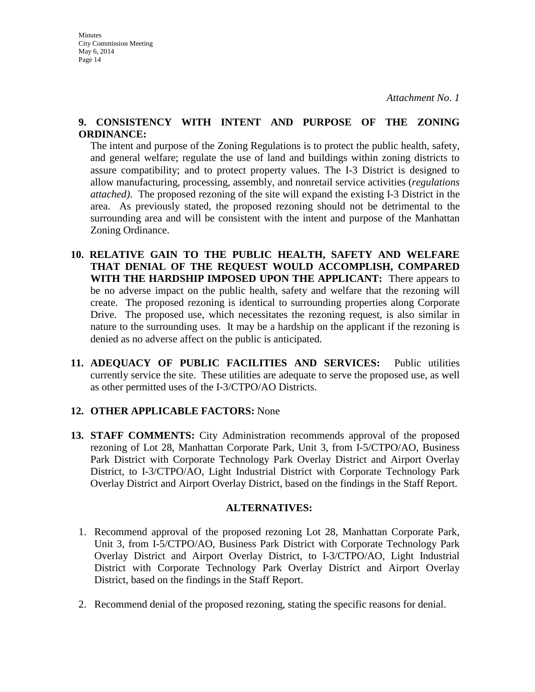### **9. CONSISTENCY WITH INTENT AND PURPOSE OF THE ZONING ORDINANCE:**

The intent and purpose of the Zoning Regulations is to protect the public health, safety, and general welfare; regulate the use of land and buildings within zoning districts to assure compatibility; and to protect property values. The I-3 District is designed to allow manufacturing, processing, assembly, and nonretail service activities (*regulations attached)*. The proposed rezoning of the site will expand the existing I-3 District in the area. As previously stated, the proposed rezoning should not be detrimental to the surrounding area and will be consistent with the intent and purpose of the Manhattan Zoning Ordinance.

- **10. RELATIVE GAIN TO THE PUBLIC HEALTH, SAFETY AND WELFARE THAT DENIAL OF THE REQUEST WOULD ACCOMPLISH, COMPARED WITH THE HARDSHIP IMPOSED UPON THE APPLICANT:** There appears to be no adverse impact on the public health, safety and welfare that the rezoning will create. The proposed rezoning is identical to surrounding properties along Corporate Drive. The proposed use, which necessitates the rezoning request, is also similar in nature to the surrounding uses. It may be a hardship on the applicant if the rezoning is denied as no adverse affect on the public is anticipated.
- **11. ADEQUACY OF PUBLIC FACILITIES AND SERVICES:** Public utilities currently service the site. These utilities are adequate to serve the proposed use, as well as other permitted uses of the I-3/CTPO/AO Districts.

# **12. OTHER APPLICABLE FACTORS:** None

**13. STAFF COMMENTS:** City Administration recommends approval of the proposed rezoning of Lot 28, Manhattan Corporate Park, Unit 3, from I-5/CTPO/AO, Business Park District with Corporate Technology Park Overlay District and Airport Overlay District, to I-3/CTPO/AO, Light Industrial District with Corporate Technology Park Overlay District and Airport Overlay District, based on the findings in the Staff Report.

# **ALTERNATIVES:**

- 1. Recommend approval of the proposed rezoning Lot 28, Manhattan Corporate Park, Unit 3, from I-5/CTPO/AO, Business Park District with Corporate Technology Park Overlay District and Airport Overlay District, to I-3/CTPO/AO, Light Industrial District with Corporate Technology Park Overlay District and Airport Overlay District, based on the findings in the Staff Report.
- 2. Recommend denial of the proposed rezoning, stating the specific reasons for denial.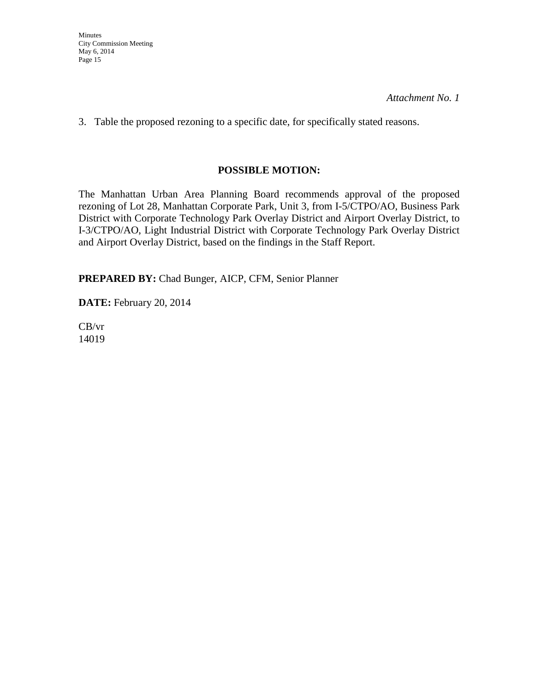3. Table the proposed rezoning to a specific date, for specifically stated reasons.

# **POSSIBLE MOTION:**

The Manhattan Urban Area Planning Board recommends approval of the proposed rezoning of Lot 28, Manhattan Corporate Park, Unit 3, from I-5/CTPO/AO, Business Park District with Corporate Technology Park Overlay District and Airport Overlay District, to I-3/CTPO/AO, Light Industrial District with Corporate Technology Park Overlay District and Airport Overlay District, based on the findings in the Staff Report.

**PREPARED BY:** Chad Bunger, AICP, CFM, Senior Planner

**DATE:** February 20, 2014

CB/vr 14019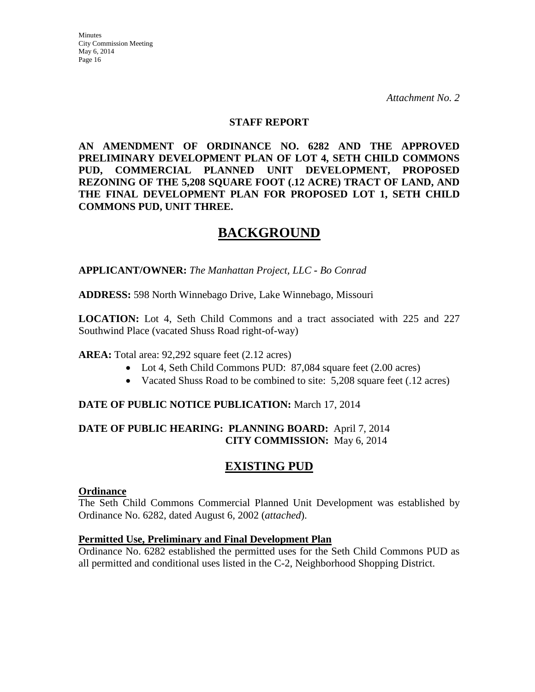### **STAFF REPORT**

**AN AMENDMENT OF ORDINANCE NO. 6282 AND THE APPROVED PRELIMINARY DEVELOPMENT PLAN OF LOT 4, SETH CHILD COMMONS PUD, COMMERCIAL PLANNED UNIT DEVELOPMENT, PROPOSED REZONING OF THE 5,208 SQUARE FOOT (.12 ACRE) TRACT OF LAND, AND THE FINAL DEVELOPMENT PLAN FOR PROPOSED LOT 1, SETH CHILD COMMONS PUD, UNIT THREE.**

# **BACKGROUND**

**APPLICANT/OWNER:** *The Manhattan Project, LLC - Bo Conrad*

#### **ADDRESS:** 598 North Winnebago Drive, Lake Winnebago, Missouri

**LOCATION:** Lot 4, Seth Child Commons and a tract associated with 225 and 227 Southwind Place (vacated Shuss Road right-of-way)

### **AREA:** Total area: 92,292 square feet (2.12 acres)

- Lot 4, Seth Child Commons PUD: 87,084 square feet (2.00 acres)
- Vacated Shuss Road to be combined to site: 5,208 square feet (.12 acres)

### **DATE OF PUBLIC NOTICE PUBLICATION:** March 17, 2014

### **DATE OF PUBLIC HEARING: PLANNING BOARD:** April 7, 2014 **CITY COMMISSION:** May 6, 2014

# **EXISTING PUD**

#### **Ordinance**

The Seth Child Commons Commercial Planned Unit Development was established by Ordinance No. 6282, dated August 6, 2002 (*attached*).

### **Permitted Use, Preliminary and Final Development Plan**

Ordinance No. 6282 established the permitted uses for the Seth Child Commons PUD as all permitted and conditional uses listed in the C-2, Neighborhood Shopping District.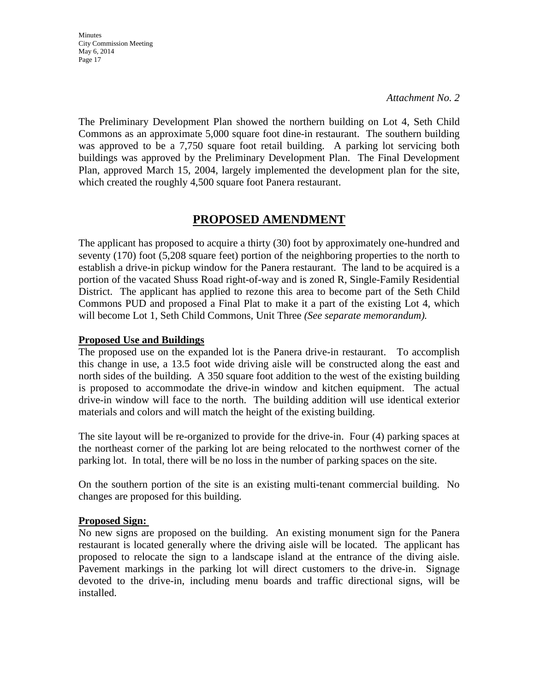*Attachment No. 2*

The Preliminary Development Plan showed the northern building on Lot 4, Seth Child Commons as an approximate 5,000 square foot dine-in restaurant. The southern building was approved to be a 7,750 square foot retail building. A parking lot servicing both buildings was approved by the Preliminary Development Plan. The Final Development Plan, approved March 15, 2004, largely implemented the development plan for the site, which created the roughly 4,500 square foot Panera restaurant.

# **PROPOSED AMENDMENT**

The applicant has proposed to acquire a thirty (30) foot by approximately one-hundred and seventy (170) foot (5,208 square feet) portion of the neighboring properties to the north to establish a drive-in pickup window for the Panera restaurant. The land to be acquired is a portion of the vacated Shuss Road right-of-way and is zoned R, Single-Family Residential District. The applicant has applied to rezone this area to become part of the Seth Child Commons PUD and proposed a Final Plat to make it a part of the existing Lot 4, which will become Lot 1, Seth Child Commons, Unit Three *(See separate memorandum).* 

### **Proposed Use and Buildings**

The proposed use on the expanded lot is the Panera drive-in restaurant. To accomplish this change in use, a 13.5 foot wide driving aisle will be constructed along the east and north sides of the building. A 350 square foot addition to the west of the existing building is proposed to accommodate the drive-in window and kitchen equipment. The actual drive-in window will face to the north. The building addition will use identical exterior materials and colors and will match the height of the existing building.

The site layout will be re-organized to provide for the drive-in. Four (4) parking spaces at the northeast corner of the parking lot are being relocated to the northwest corner of the parking lot. In total, there will be no loss in the number of parking spaces on the site.

On the southern portion of the site is an existing multi-tenant commercial building. No changes are proposed for this building.

# **Proposed Sign:**

No new signs are proposed on the building. An existing monument sign for the Panera restaurant is located generally where the driving aisle will be located. The applicant has proposed to relocate the sign to a landscape island at the entrance of the diving aisle. Pavement markings in the parking lot will direct customers to the drive-in. Signage devoted to the drive-in, including menu boards and traffic directional signs, will be installed.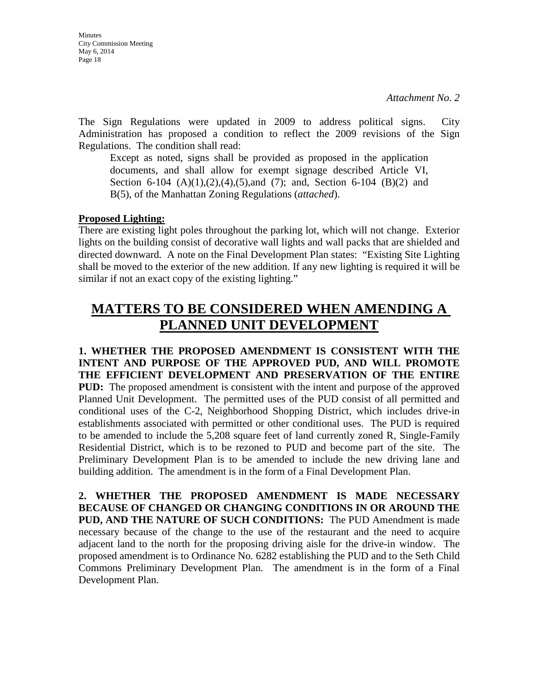The Sign Regulations were updated in 2009 to address political signs. City Administration has proposed a condition to reflect the 2009 revisions of the Sign Regulations. The condition shall read:

Except as noted, signs shall be provided as proposed in the application documents, and shall allow for exempt signage described Article VI, Section 6-104  $(A)(1),(2),(4),(5)$ , and  $(7)$ ; and, Section 6-104  $(B)(2)$  and B(5), of the Manhattan Zoning Regulations (*attached*).

### **Proposed Lighting:**

There are existing light poles throughout the parking lot, which will not change. Exterior lights on the building consist of decorative wall lights and wall packs that are shielded and directed downward. A note on the Final Development Plan states: "Existing Site Lighting shall be moved to the exterior of the new addition. If any new lighting is required it will be similar if not an exact copy of the existing lighting."

# **MATTERS TO BE CONSIDERED WHEN AMENDING A PLANNED UNIT DEVELOPMENT**

**1. WHETHER THE PROPOSED AMENDMENT IS CONSISTENT WITH THE INTENT AND PURPOSE OF THE APPROVED PUD, AND WILL PROMOTE THE EFFICIENT DEVELOPMENT AND PRESERVATION OF THE ENTIRE PUD:** The proposed amendment is consistent with the intent and purpose of the approved Planned Unit Development. The permitted uses of the PUD consist of all permitted and conditional uses of the C-2, Neighborhood Shopping District, which includes drive-in establishments associated with permitted or other conditional uses. The PUD is required to be amended to include the 5,208 square feet of land currently zoned R, Single-Family Residential District, which is to be rezoned to PUD and become part of the site. The Preliminary Development Plan is to be amended to include the new driving lane and building addition. The amendment is in the form of a Final Development Plan.

**2. WHETHER THE PROPOSED AMENDMENT IS MADE NECESSARY BECAUSE OF CHANGED OR CHANGING CONDITIONS IN OR AROUND THE PUD, AND THE NATURE OF SUCH CONDITIONS:** The PUD Amendment is made necessary because of the change to the use of the restaurant and the need to acquire adjacent land to the north for the proposing driving aisle for the drive-in window. The proposed amendment is to Ordinance No. 6282 establishing the PUD and to the Seth Child Commons Preliminary Development Plan. The amendment is in the form of a Final Development Plan.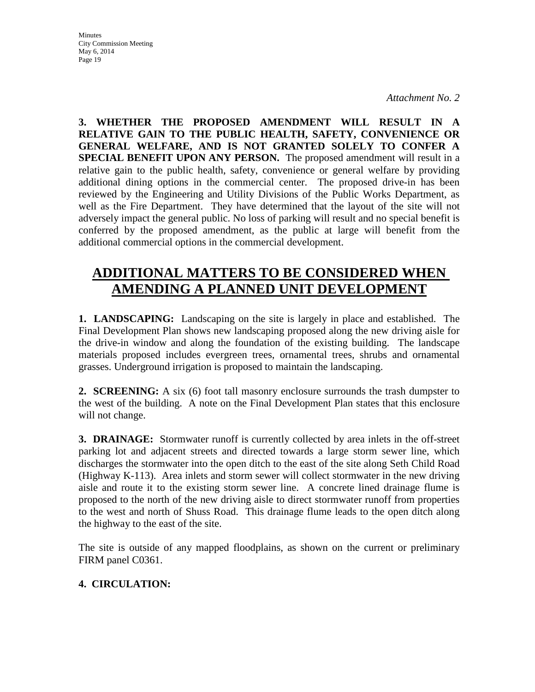*Attachment No. 2*

**3. WHETHER THE PROPOSED AMENDMENT WILL RESULT IN A RELATIVE GAIN TO THE PUBLIC HEALTH, SAFETY, CONVENIENCE OR GENERAL WELFARE, AND IS NOT GRANTED SOLELY TO CONFER A SPECIAL BENEFIT UPON ANY PERSON.** The proposed amendment will result in a relative gain to the public health, safety, convenience or general welfare by providing additional dining options in the commercial center. The proposed drive-in has been reviewed by the Engineering and Utility Divisions of the Public Works Department, as well as the Fire Department. They have determined that the layout of the site will not adversely impact the general public. No loss of parking will result and no special benefit is conferred by the proposed amendment, as the public at large will benefit from the additional commercial options in the commercial development.

# **ADDITIONAL MATTERS TO BE CONSIDERED WHEN AMENDING A PLANNED UNIT DEVELOPMENT**

**1. LANDSCAPING:** Landscaping on the site is largely in place and established. The Final Development Plan shows new landscaping proposed along the new driving aisle for the drive-in window and along the foundation of the existing building. The landscape materials proposed includes evergreen trees, ornamental trees, shrubs and ornamental grasses. Underground irrigation is proposed to maintain the landscaping.

**2. SCREENING:** A six (6) foot tall masonry enclosure surrounds the trash dumpster to the west of the building. A note on the Final Development Plan states that this enclosure will not change.

**3. DRAINAGE:** Stormwater runoff is currently collected by area inlets in the off-street parking lot and adjacent streets and directed towards a large storm sewer line, which discharges the stormwater into the open ditch to the east of the site along Seth Child Road (Highway K-113). Area inlets and storm sewer will collect stormwater in the new driving aisle and route it to the existing storm sewer line. A concrete lined drainage flume is proposed to the north of the new driving aisle to direct stormwater runoff from properties to the west and north of Shuss Road. This drainage flume leads to the open ditch along the highway to the east of the site.

The site is outside of any mapped floodplains, as shown on the current or preliminary FIRM panel C0361.

# **4. CIRCULATION:**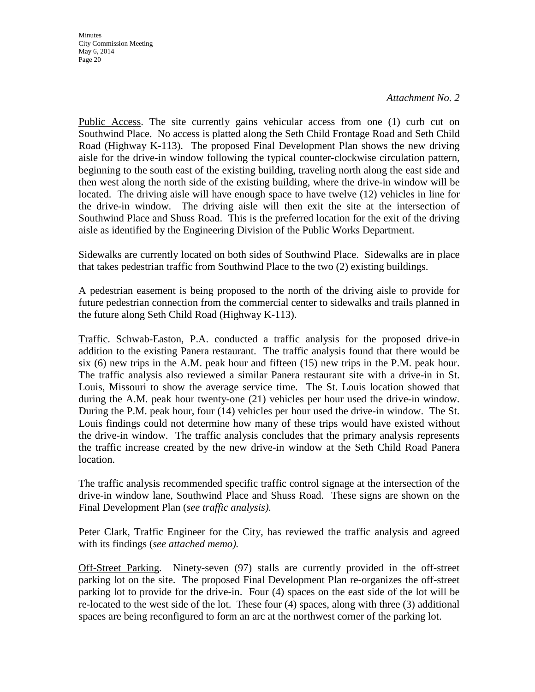*Attachment No. 2*

Public Access. The site currently gains vehicular access from one (1) curb cut on Southwind Place. No access is platted along the Seth Child Frontage Road and Seth Child Road (Highway K-113). The proposed Final Development Plan shows the new driving aisle for the drive-in window following the typical counter-clockwise circulation pattern, beginning to the south east of the existing building, traveling north along the east side and then west along the north side of the existing building, where the drive-in window will be located. The driving aisle will have enough space to have twelve (12) vehicles in line for the drive-in window. The driving aisle will then exit the site at the intersection of Southwind Place and Shuss Road. This is the preferred location for the exit of the driving aisle as identified by the Engineering Division of the Public Works Department.

Sidewalks are currently located on both sides of Southwind Place. Sidewalks are in place that takes pedestrian traffic from Southwind Place to the two (2) existing buildings.

A pedestrian easement is being proposed to the north of the driving aisle to provide for future pedestrian connection from the commercial center to sidewalks and trails planned in the future along Seth Child Road (Highway K-113).

Traffic. Schwab-Easton, P.A. conducted a traffic analysis for the proposed drive-in addition to the existing Panera restaurant. The traffic analysis found that there would be six (6) new trips in the A.M. peak hour and fifteen (15) new trips in the P.M. peak hour. The traffic analysis also reviewed a similar Panera restaurant site with a drive-in in St. Louis, Missouri to show the average service time. The St. Louis location showed that during the A.M. peak hour twenty-one (21) vehicles per hour used the drive-in window. During the P.M. peak hour, four (14) vehicles per hour used the drive-in window. The St. Louis findings could not determine how many of these trips would have existed without the drive-in window. The traffic analysis concludes that the primary analysis represents the traffic increase created by the new drive-in window at the Seth Child Road Panera location.

The traffic analysis recommended specific traffic control signage at the intersection of the drive-in window lane, Southwind Place and Shuss Road. These signs are shown on the Final Development Plan (*see traffic analysis).*

Peter Clark, Traffic Engineer for the City, has reviewed the traffic analysis and agreed with its findings (*see attached memo).*

Off-Street Parking. Ninety-seven (97) stalls are currently provided in the off-street parking lot on the site. The proposed Final Development Plan re-organizes the off-street parking lot to provide for the drive-in. Four (4) spaces on the east side of the lot will be re-located to the west side of the lot. These four (4) spaces, along with three (3) additional spaces are being reconfigured to form an arc at the northwest corner of the parking lot.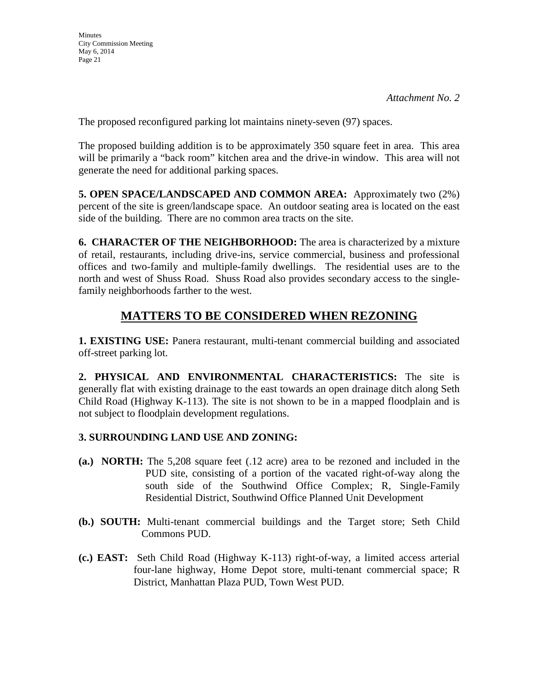The proposed reconfigured parking lot maintains ninety-seven (97) spaces.

The proposed building addition is to be approximately 350 square feet in area. This area will be primarily a "back room" kitchen area and the drive-in window. This area will not generate the need for additional parking spaces.

**5. OPEN SPACE/LANDSCAPED AND COMMON AREA:** Approximately two (2%) percent of the site is green/landscape space. An outdoor seating area is located on the east side of the building. There are no common area tracts on the site.

**6. CHARACTER OF THE NEIGHBORHOOD:** The area is characterized by a mixture of retail, restaurants, including drive-ins, service commercial, business and professional offices and two-family and multiple-family dwellings. The residential uses are to the north and west of Shuss Road. Shuss Road also provides secondary access to the singlefamily neighborhoods farther to the west.

# **MATTERS TO BE CONSIDERED WHEN REZONING**

**1. EXISTING USE:** Panera restaurant, multi-tenant commercial building and associated off-street parking lot.

**2. PHYSICAL AND ENVIRONMENTAL CHARACTERISTICS:** The site is generally flat with existing drainage to the east towards an open drainage ditch along Seth Child Road (Highway K-113). The site is not shown to be in a mapped floodplain and is not subject to floodplain development regulations.

# **3. SURROUNDING LAND USE AND ZONING:**

- **(a.) NORTH:** The 5,208 square feet (.12 acre) area to be rezoned and included in the PUD site, consisting of a portion of the vacated right-of-way along the south side of the Southwind Office Complex; R, Single-Family Residential District, Southwind Office Planned Unit Development
- **(b.) SOUTH:** Multi-tenant commercial buildings and the Target store; Seth Child Commons PUD.
- **(c.) EAST:** Seth Child Road (Highway K-113) right-of-way, a limited access arterial four-lane highway, Home Depot store, multi-tenant commercial space; R District, Manhattan Plaza PUD, Town West PUD.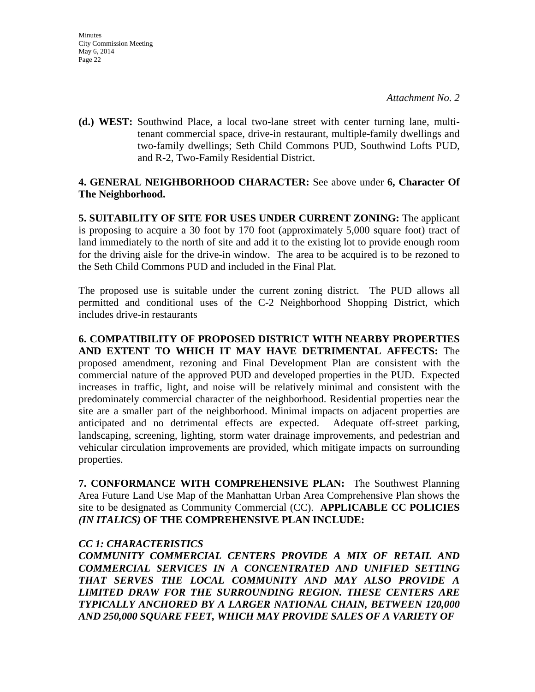**(d.) WEST:** Southwind Place, a local two-lane street with center turning lane, multitenant commercial space, drive-in restaurant, multiple-family dwellings and two-family dwellings; Seth Child Commons PUD, Southwind Lofts PUD, and R-2, Two-Family Residential District.

# **4. GENERAL NEIGHBORHOOD CHARACTER:** See above under **6, Character Of The Neighborhood.**

**5. SUITABILITY OF SITE FOR USES UNDER CURRENT ZONING:** The applicant is proposing to acquire a 30 foot by 170 foot (approximately 5,000 square foot) tract of land immediately to the north of site and add it to the existing lot to provide enough room for the driving aisle for the drive-in window. The area to be acquired is to be rezoned to the Seth Child Commons PUD and included in the Final Plat.

The proposed use is suitable under the current zoning district. The PUD allows all permitted and conditional uses of the C-2 Neighborhood Shopping District, which includes drive-in restaurants

**6. COMPATIBILITY OF PROPOSED DISTRICT WITH NEARBY PROPERTIES AND EXTENT TO WHICH IT MAY HAVE DETRIMENTAL AFFECTS:** The proposed amendment, rezoning and Final Development Plan are consistent with the commercial nature of the approved PUD and developed properties in the PUD. Expected increases in traffic, light, and noise will be relatively minimal and consistent with the predominately commercial character of the neighborhood. Residential properties near the site are a smaller part of the neighborhood. Minimal impacts on adjacent properties are anticipated and no detrimental effects are expected. Adequate off-street parking, landscaping, screening, lighting, storm water drainage improvements, and pedestrian and vehicular circulation improvements are provided, which mitigate impacts on surrounding properties.

**7. CONFORMANCE WITH COMPREHENSIVE PLAN:** The Southwest Planning Area Future Land Use Map of the Manhattan Urban Area Comprehensive Plan shows the site to be designated as Community Commercial (CC). **APPLICABLE CC POLICIES**  *(IN ITALICS)* **OF THE COMPREHENSIVE PLAN INCLUDE:**

# *CC 1: CHARACTERISTICS*

*COMMUNITY COMMERCIAL CENTERS PROVIDE A MIX OF RETAIL AND COMMERCIAL SERVICES IN A CONCENTRATED AND UNIFIED SETTING THAT SERVES THE LOCAL COMMUNITY AND MAY ALSO PROVIDE A LIMITED DRAW FOR THE SURROUNDING REGION. THESE CENTERS ARE TYPICALLY ANCHORED BY A LARGER NATIONAL CHAIN, BETWEEN 120,000 AND 250,000 SQUARE FEET, WHICH MAY PROVIDE SALES OF A VARIETY OF*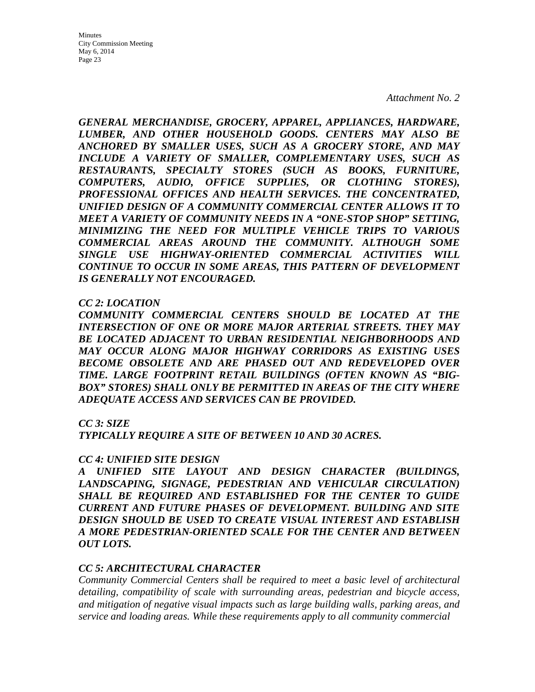*Attachment No. 2*

*GENERAL MERCHANDISE, GROCERY, APPAREL, APPLIANCES, HARDWARE, LUMBER, AND OTHER HOUSEHOLD GOODS. CENTERS MAY ALSO BE ANCHORED BY SMALLER USES, SUCH AS A GROCERY STORE, AND MAY INCLUDE A VARIETY OF SMALLER, COMPLEMENTARY USES, SUCH AS RESTAURANTS, SPECIALTY STORES (SUCH AS BOOKS, FURNITURE, COMPUTERS, AUDIO, OFFICE SUPPLIES, OR CLOTHING STORES), PROFESSIONAL OFFICES AND HEALTH SERVICES. THE CONCENTRATED, UNIFIED DESIGN OF A COMMUNITY COMMERCIAL CENTER ALLOWS IT TO MEET A VARIETY OF COMMUNITY NEEDS IN A "ONE-STOP SHOP" SETTING, MINIMIZING THE NEED FOR MULTIPLE VEHICLE TRIPS TO VARIOUS COMMERCIAL AREAS AROUND THE COMMUNITY. ALTHOUGH SOME SINGLE USE HIGHWAY-ORIENTED COMMERCIAL ACTIVITIES WILL CONTINUE TO OCCUR IN SOME AREAS, THIS PATTERN OF DEVELOPMENT IS GENERALLY NOT ENCOURAGED.* 

#### *CC 2: LOCATION*

*COMMUNITY COMMERCIAL CENTERS SHOULD BE LOCATED AT THE INTERSECTION OF ONE OR MORE MAJOR ARTERIAL STREETS. THEY MAY BE LOCATED ADJACENT TO URBAN RESIDENTIAL NEIGHBORHOODS AND MAY OCCUR ALONG MAJOR HIGHWAY CORRIDORS AS EXISTING USES BECOME OBSOLETE AND ARE PHASED OUT AND REDEVELOPED OVER TIME. LARGE FOOTPRINT RETAIL BUILDINGS (OFTEN KNOWN AS "BIG-BOX" STORES) SHALL ONLY BE PERMITTED IN AREAS OF THE CITY WHERE ADEQUATE ACCESS AND SERVICES CAN BE PROVIDED.* 

### *CC 3: SIZE*

*TYPICALLY REQUIRE A SITE OF BETWEEN 10 AND 30 ACRES.*

#### *CC 4: UNIFIED SITE DESIGN*

*A UNIFIED SITE LAYOUT AND DESIGN CHARACTER (BUILDINGS, LANDSCAPING, SIGNAGE, PEDESTRIAN AND VEHICULAR CIRCULATION) SHALL BE REQUIRED AND ESTABLISHED FOR THE CENTER TO GUIDE CURRENT AND FUTURE PHASES OF DEVELOPMENT. BUILDING AND SITE DESIGN SHOULD BE USED TO CREATE VISUAL INTEREST AND ESTABLISH A MORE PEDESTRIAN-ORIENTED SCALE FOR THE CENTER AND BETWEEN OUT LOTS.* 

### *CC 5: ARCHITECTURAL CHARACTER*

*Community Commercial Centers shall be required to meet a basic level of architectural detailing, compatibility of scale with surrounding areas, pedestrian and bicycle access, and mitigation of negative visual impacts such as large building walls, parking areas, and service and loading areas. While these requirements apply to all community commercial*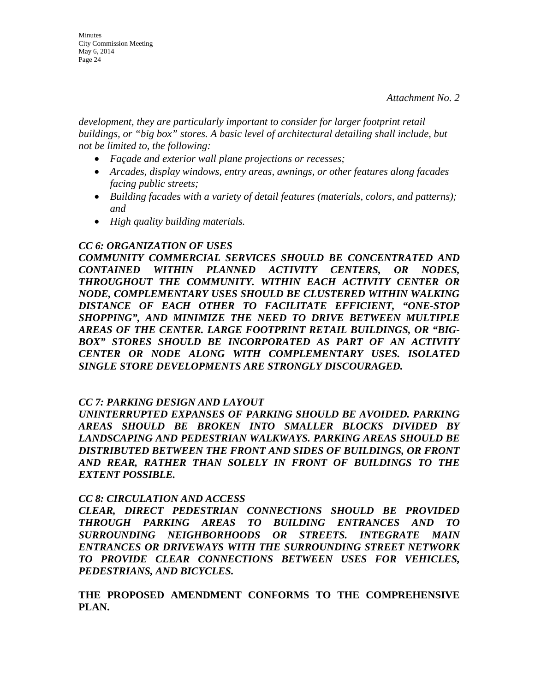*development, they are particularly important to consider for larger footprint retail buildings, or "big box" stores. A basic level of architectural detailing shall include, but not be limited to, the following:* 

- *Façade and exterior wall plane projections or recesses;*
- *Arcades, display windows, entry areas, awnings, or other features along facades facing public streets;*
- *Building facades with a variety of detail features (materials, colors, and patterns); and*
- *High quality building materials.*

### *CC 6: ORGANIZATION OF USES*

*COMMUNITY COMMERCIAL SERVICES SHOULD BE CONCENTRATED AND CONTAINED WITHIN PLANNED ACTIVITY CENTERS, OR NODES, THROUGHOUT THE COMMUNITY. WITHIN EACH ACTIVITY CENTER OR NODE, COMPLEMENTARY USES SHOULD BE CLUSTERED WITHIN WALKING DISTANCE OF EACH OTHER TO FACILITATE EFFICIENT, "ONE-STOP SHOPPING", AND MINIMIZE THE NEED TO DRIVE BETWEEN MULTIPLE AREAS OF THE CENTER. LARGE FOOTPRINT RETAIL BUILDINGS, OR "BIG-BOX" STORES SHOULD BE INCORPORATED AS PART OF AN ACTIVITY CENTER OR NODE ALONG WITH COMPLEMENTARY USES. ISOLATED SINGLE STORE DEVELOPMENTS ARE STRONGLY DISCOURAGED.* 

### *CC 7: PARKING DESIGN AND LAYOUT*

*UNINTERRUPTED EXPANSES OF PARKING SHOULD BE AVOIDED. PARKING AREAS SHOULD BE BROKEN INTO SMALLER BLOCKS DIVIDED BY LANDSCAPING AND PEDESTRIAN WALKWAYS. PARKING AREAS SHOULD BE DISTRIBUTED BETWEEN THE FRONT AND SIDES OF BUILDINGS, OR FRONT AND REAR, RATHER THAN SOLELY IN FRONT OF BUILDINGS TO THE EXTENT POSSIBLE.* 

### *CC 8: CIRCULATION AND ACCESS*

*CLEAR, DIRECT PEDESTRIAN CONNECTIONS SHOULD BE PROVIDED THROUGH PARKING AREAS TO BUILDING ENTRANCES AND TO SURROUNDING NEIGHBORHOODS OR STREETS. INTEGRATE MAIN ENTRANCES OR DRIVEWAYS WITH THE SURROUNDING STREET NETWORK TO PROVIDE CLEAR CONNECTIONS BETWEEN USES FOR VEHICLES, PEDESTRIANS, AND BICYCLES.* 

**THE PROPOSED AMENDMENT CONFORMS TO THE COMPREHENSIVE PLAN.**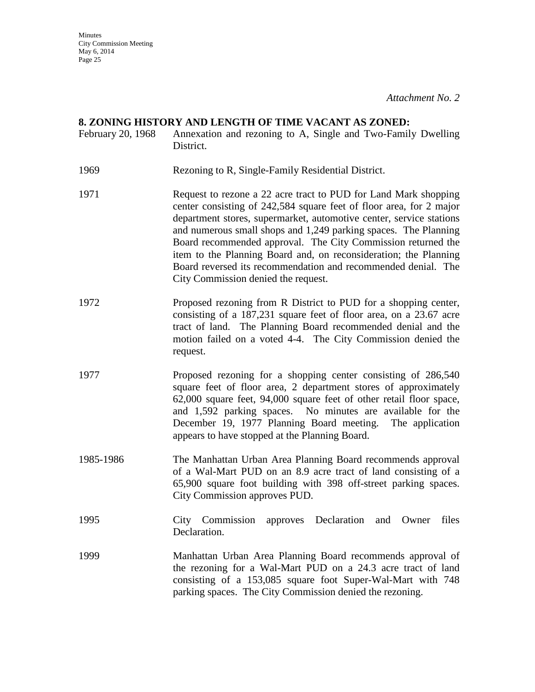*Attachment No. 2*

#### **8. ZONING HISTORY AND LENGTH OF TIME VACANT AS ZONED:**

- February 20, 1968 Annexation and rezoning to A, Single and Two-Family Dwelling District.
- 1969 Rezoning to R, Single-Family Residential District.
- 1971 Request to rezone a 22 acre tract to PUD for Land Mark shopping center consisting of 242,584 square feet of floor area, for 2 major department stores, supermarket, automotive center, service stations and numerous small shops and 1,249 parking spaces. The Planning Board recommended approval. The City Commission returned the item to the Planning Board and, on reconsideration; the Planning Board reversed its recommendation and recommended denial. The City Commission denied the request.
- 1972 Proposed rezoning from R District to PUD for a shopping center, consisting of a 187,231 square feet of floor area, on a 23.67 acre tract of land. The Planning Board recommended denial and the motion failed on a voted 4-4. The City Commission denied the request.
- 1977 Proposed rezoning for a shopping center consisting of 286,540 square feet of floor area, 2 department stores of approximately 62,000 square feet, 94,000 square feet of other retail floor space, and 1,592 parking spaces. No minutes are available for the December 19, 1977 Planning Board meeting. The application appears to have stopped at the Planning Board.
- 1985-1986 The Manhattan Urban Area Planning Board recommends approval of a Wal-Mart PUD on an 8.9 acre tract of land consisting of a 65,900 square foot building with 398 off-street parking spaces. City Commission approves PUD.
- 1995 City Commission approves Declaration and Owner files Declaration.
- 1999 Manhattan Urban Area Planning Board recommends approval of the rezoning for a Wal-Mart PUD on a 24.3 acre tract of land consisting of a 153,085 square foot Super-Wal-Mart with 748 parking spaces. The City Commission denied the rezoning.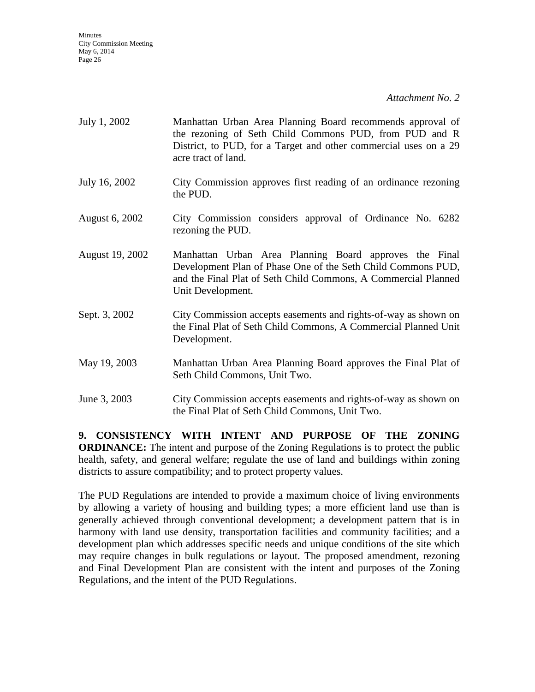*Attachment No. 2*

| July 1, 2002    | Manhattan Urban Area Planning Board recommends approval of<br>the rezoning of Seth Child Commons PUD, from PUD and R<br>District, to PUD, for a Target and other commercial uses on a 29<br>acre tract of land. |
|-----------------|-----------------------------------------------------------------------------------------------------------------------------------------------------------------------------------------------------------------|
| July 16, 2002   | City Commission approves first reading of an ordinance rezoning<br>the PUD.                                                                                                                                     |
| August 6, 2002  | City Commission considers approval of Ordinance No. 6282<br>rezoning the PUD.                                                                                                                                   |
| August 19, 2002 | Manhattan Urban Area Planning Board approves the Final<br>Development Plan of Phase One of the Seth Child Commons PUD,<br>and the Final Plat of Seth Child Commons, A Commercial Planned<br>Unit Development.   |
| Sept. 3, 2002   | City Commission accepts easements and rights-of-way as shown on<br>the Final Plat of Seth Child Commons, A Commercial Planned Unit<br>Development.                                                              |
| May 19, 2003    | Manhattan Urban Area Planning Board approves the Final Plat of<br>Seth Child Commons, Unit Two.                                                                                                                 |
| June 3, 2003    | City Commission accepts easements and rights-of-way as shown on<br>the Final Plat of Seth Child Commons, Unit Two.                                                                                              |

**9. CONSISTENCY WITH INTENT AND PURPOSE OF THE ZONING ORDINANCE:** The intent and purpose of the Zoning Regulations is to protect the public health, safety, and general welfare; regulate the use of land and buildings within zoning districts to assure compatibility; and to protect property values.

The PUD Regulations are intended to provide a maximum choice of living environments by allowing a variety of housing and building types; a more efficient land use than is generally achieved through conventional development; a development pattern that is in harmony with land use density, transportation facilities and community facilities; and a development plan which addresses specific needs and unique conditions of the site which may require changes in bulk regulations or layout. The proposed amendment, rezoning and Final Development Plan are consistent with the intent and purposes of the Zoning Regulations, and the intent of the PUD Regulations.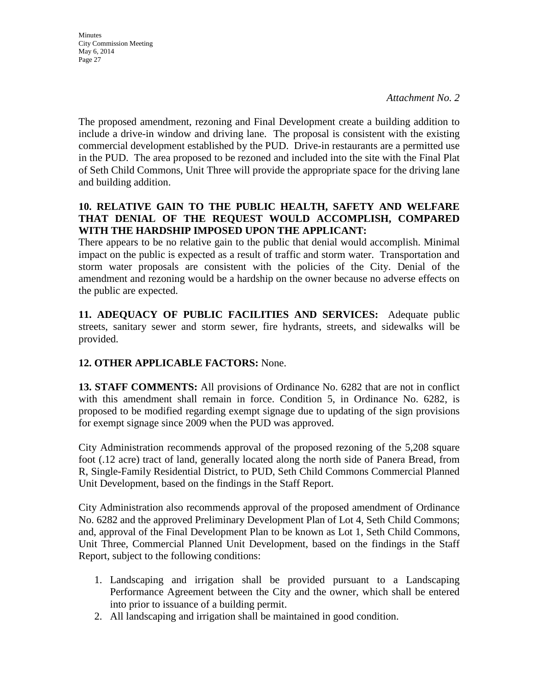**Minutes** City Commission Meeting May 6, 2014 Page 27

The proposed amendment, rezoning and Final Development create a building addition to include a drive-in window and driving lane. The proposal is consistent with the existing commercial development established by the PUD. Drive-in restaurants are a permitted use in the PUD. The area proposed to be rezoned and included into the site with the Final Plat of Seth Child Commons, Unit Three will provide the appropriate space for the driving lane and building addition.

# **10. RELATIVE GAIN TO THE PUBLIC HEALTH, SAFETY AND WELFARE THAT DENIAL OF THE REQUEST WOULD ACCOMPLISH, COMPARED WITH THE HARDSHIP IMPOSED UPON THE APPLICANT:**

There appears to be no relative gain to the public that denial would accomplish. Minimal impact on the public is expected as a result of traffic and storm water. Transportation and storm water proposals are consistent with the policies of the City. Denial of the amendment and rezoning would be a hardship on the owner because no adverse effects on the public are expected.

**11. ADEQUACY OF PUBLIC FACILITIES AND SERVICES:** Adequate public streets, sanitary sewer and storm sewer, fire hydrants, streets, and sidewalks will be provided.

# **12. OTHER APPLICABLE FACTORS:** None.

**13. STAFF COMMENTS:** All provisions of Ordinance No. 6282 that are not in conflict with this amendment shall remain in force. Condition 5, in Ordinance No. 6282, is proposed to be modified regarding exempt signage due to updating of the sign provisions for exempt signage since 2009 when the PUD was approved.

City Administration recommends approval of the proposed rezoning of the 5,208 square foot (.12 acre) tract of land, generally located along the north side of Panera Bread, from R, Single-Family Residential District, to PUD, Seth Child Commons Commercial Planned Unit Development, based on the findings in the Staff Report.

City Administration also recommends approval of the proposed amendment of Ordinance No. 6282 and the approved Preliminary Development Plan of Lot 4, Seth Child Commons; and, approval of the Final Development Plan to be known as Lot 1, Seth Child Commons, Unit Three, Commercial Planned Unit Development, based on the findings in the Staff Report, subject to the following conditions:

- 1. Landscaping and irrigation shall be provided pursuant to a Landscaping Performance Agreement between the City and the owner, which shall be entered into prior to issuance of a building permit.
- 2. All landscaping and irrigation shall be maintained in good condition.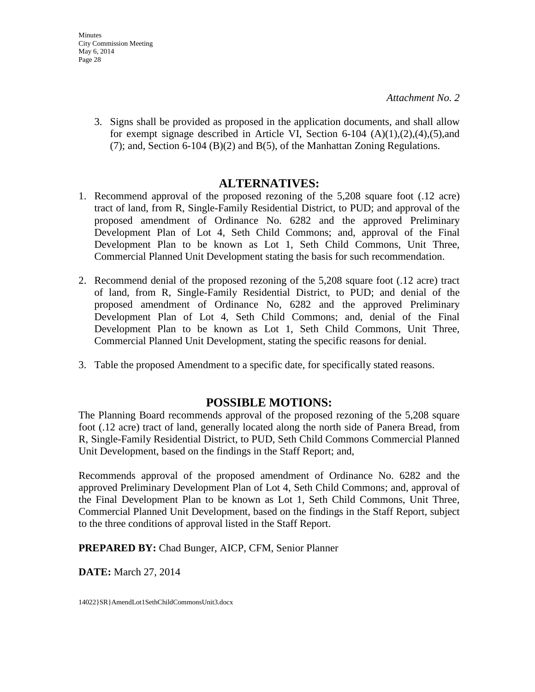3. Signs shall be provided as proposed in the application documents, and shall allow for exempt signage described in Article VI, Section 6-104  $(A)(1),(2),(4),(5)$ , and (7); and, Section 6-104 (B)(2) and B(5), of the Manhattan Zoning Regulations.

# **ALTERNATIVES:**

- 1. Recommend approval of the proposed rezoning of the 5,208 square foot (.12 acre) tract of land, from R, Single-Family Residential District, to PUD; and approval of the proposed amendment of Ordinance No. 6282 and the approved Preliminary Development Plan of Lot 4, Seth Child Commons; and, approval of the Final Development Plan to be known as Lot 1, Seth Child Commons, Unit Three, Commercial Planned Unit Development stating the basis for such recommendation.
- 2. Recommend denial of the proposed rezoning of the 5,208 square foot (.12 acre) tract of land, from R, Single-Family Residential District, to PUD; and denial of the proposed amendment of Ordinance No, 6282 and the approved Preliminary Development Plan of Lot 4, Seth Child Commons; and, denial of the Final Development Plan to be known as Lot 1, Seth Child Commons, Unit Three, Commercial Planned Unit Development, stating the specific reasons for denial.
- 3. Table the proposed Amendment to a specific date, for specifically stated reasons.

# **POSSIBLE MOTIONS:**

The Planning Board recommends approval of the proposed rezoning of the 5,208 square foot (.12 acre) tract of land, generally located along the north side of Panera Bread, from R, Single-Family Residential District, to PUD, Seth Child Commons Commercial Planned Unit Development, based on the findings in the Staff Report; and,

Recommends approval of the proposed amendment of Ordinance No. 6282 and the approved Preliminary Development Plan of Lot 4, Seth Child Commons; and, approval of the Final Development Plan to be known as Lot 1, Seth Child Commons, Unit Three, Commercial Planned Unit Development, based on the findings in the Staff Report, subject to the three conditions of approval listed in the Staff Report.

**PREPARED BY:** Chad Bunger, AICP, CFM, Senior Planner

**DATE:** March 27, 2014

14022}SR}AmendLot1SethChildCommonsUnit3.docx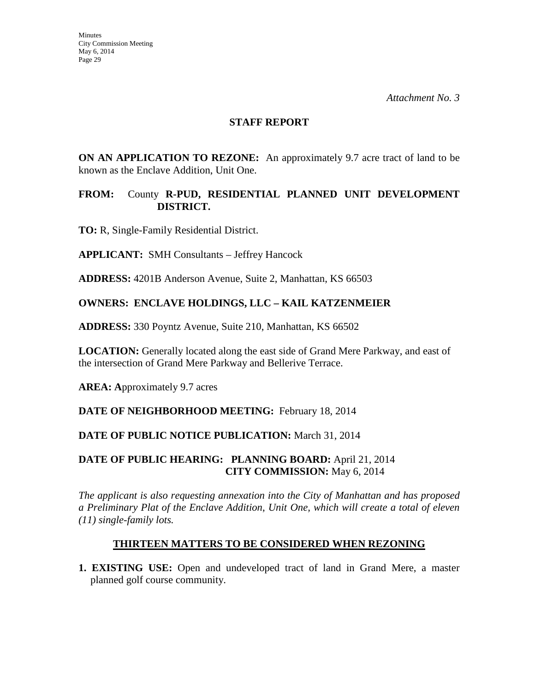### **STAFF REPORT**

**ON AN APPLICATION TO REZONE:** An approximately 9.7 acre tract of land to be known as the Enclave Addition, Unit One.

### **FROM:** County **R-PUD, RESIDENTIAL PLANNED UNIT DEVELOPMENT DISTRICT.**

**TO:** R, Single-Family Residential District.

**APPLICANT:** SMH Consultants – Jeffrey Hancock

**ADDRESS:** 4201B Anderson Avenue, Suite 2, Manhattan, KS 66503

# **OWNERS: ENCLAVE HOLDINGS, LLC – KAIL KATZENMEIER**

**ADDRESS:** 330 Poyntz Avenue, Suite 210, Manhattan, KS 66502

**LOCATION:** Generally located along the east side of Grand Mere Parkway, and east of the intersection of Grand Mere Parkway and Bellerive Terrace.

**AREA: A**pproximately 9.7 acres

**DATE OF NEIGHBORHOOD MEETING:** February 18, 2014

# **DATE OF PUBLIC NOTICE PUBLICATION:** March 31, 2014

# **DATE OF PUBLIC HEARING: PLANNING BOARD:** April 21, 2014 **CITY COMMISSION:** May 6, 2014

*The applicant is also requesting annexation into the City of Manhattan and has proposed a Preliminary Plat of the Enclave Addition*, *Unit One, which will create a total of eleven (11) single-family lots.*

# **THIRTEEN MATTERS TO BE CONSIDERED WHEN REZONING**

**1. EXISTING USE:** Open and undeveloped tract of land in Grand Mere, a master planned golf course community.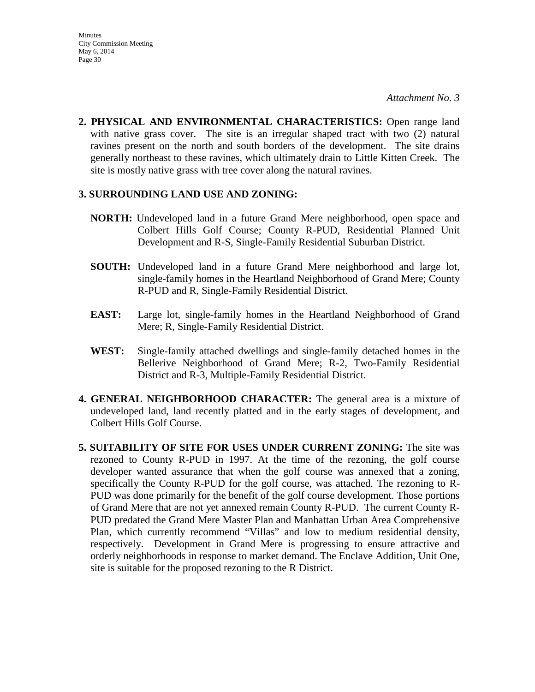**2. PHYSICAL AND ENVIRONMENTAL CHARACTERISTICS:** Open range land with native grass cover. The site is an irregular shaped tract with two  $(2)$  natural ravines present on the north and south borders of the development. The site drains generally northeast to these ravines, which ultimately drain to Little Kitten Creek. The site is mostly native grass with tree cover along the natural ravines.

### **3. SURROUNDING LAND USE AND ZONING:**

- **NORTH:** Undeveloped land in a future Grand Mere neighborhood, open space and Colbert Hills Golf Course; County R-PUD, Residential Planned Unit Development and R-S, Single-Family Residential Suburban District.
- **SOUTH:** Undeveloped land in a future Grand Mere neighborhood and large lot, single-family homes in the Heartland Neighborhood of Grand Mere; County R-PUD and R, Single-Family Residential District.
- **EAST:** Large lot, single-family homes in the Heartland Neighborhood of Grand Mere; R, Single-Family Residential District.
- **WEST:** Single-family attached dwellings and single-family detached homes in the Bellerive Neighborhood of Grand Mere; R-2, Two-Family Residential District and R-3, Multiple-Family Residential District.
- **4. GENERAL NEIGHBORHOOD CHARACTER:** The general area is a mixture of undeveloped land, land recently platted and in the early stages of development, and Colbert Hills Golf Course.
- **5. SUITABILITY OF SITE FOR USES UNDER CURRENT ZONING:** The site was rezoned to County R-PUD in 1997. At the time of the rezoning, the golf course developer wanted assurance that when the golf course was annexed that a zoning, specifically the County R-PUD for the golf course, was attached. The rezoning to R-PUD was done primarily for the benefit of the golf course development. Those portions of Grand Mere that are not yet annexed remain County R-PUD. The current County R-PUD predated the Grand Mere Master Plan and Manhattan Urban Area Comprehensive Plan, which currently recommend "Villas" and low to medium residential density, respectively. Development in Grand Mere is progressing to ensure attractive and orderly neighborhoods in response to market demand. The Enclave Addition, Unit One, site is suitable for the proposed rezoning to the R District.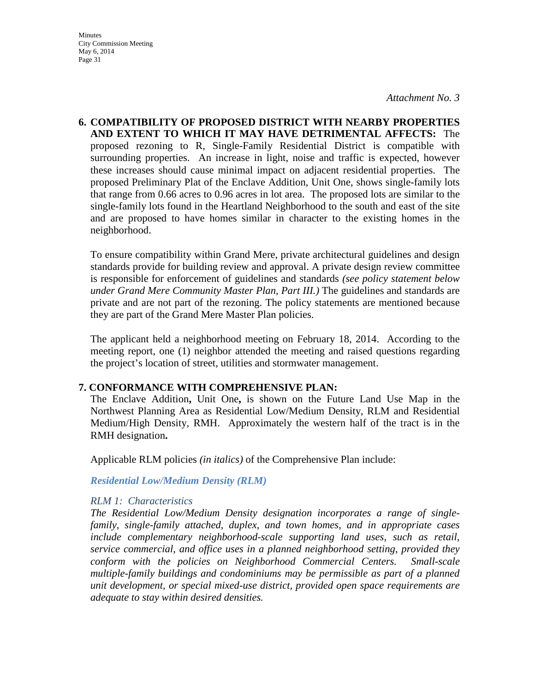**6. COMPATIBILITY OF PROPOSED DISTRICT WITH NEARBY PROPERTIES AND EXTENT TO WHICH IT MAY HAVE DETRIMENTAL AFFECTS:** The proposed rezoning to R, Single-Family Residential District is compatible with surrounding properties. An increase in light, noise and traffic is expected, however these increases should cause minimal impact on adjacent residential properties. The proposed Preliminary Plat of the Enclave Addition, Unit One, shows single-family lots that range from 0.66 acres to 0.96 acres in lot area. The proposed lots are similar to the single-family lots found in the Heartland Neighborhood to the south and east of the site and are proposed to have homes similar in character to the existing homes in the neighborhood.

To ensure compatibility within Grand Mere, private architectural guidelines and design standards provide for building review and approval. A private design review committee is responsible for enforcement of guidelines and standards *(see policy statement below under Grand Mere Community Master Plan, Part III.)* The guidelines and standards are private and are not part of the rezoning. The policy statements are mentioned because they are part of the Grand Mere Master Plan policies.

The applicant held a neighborhood meeting on February 18, 2014. According to the meeting report, one (1) neighbor attended the meeting and raised questions regarding the project's location of street, utilities and stormwater management.

### **7. CONFORMANCE WITH COMPREHENSIVE PLAN:**

The Enclave Addition**,** Unit One**,** is shown on the Future Land Use Map in the Northwest Planning Area as Residential Low/Medium Density, RLM and Residential Medium/High Density, RMH. Approximately the western half of the tract is in the RMH designation**.**

Applicable RLM policies *(in italics)* of the Comprehensive Plan include:

### *Residential Low/Medium Density (RLM)*

### *RLM 1: Characteristics*

*The Residential Low/Medium Density designation incorporates a range of singlefamily, single-family attached, duplex, and town homes, and in appropriate cases include complementary neighborhood-scale supporting land uses, such as retail, service commercial, and office uses in a planned neighborhood setting, provided they conform with the policies on Neighborhood Commercial Centers. Small-scale multiple-family buildings and condominiums may be permissible as part of a planned unit development, or special mixed-use district, provided open space requirements are adequate to stay within desired densities.*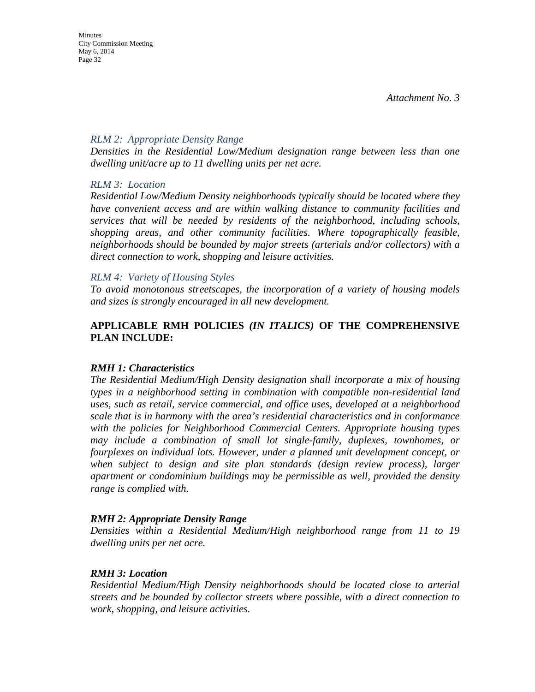### *RLM 2: Appropriate Density Range*

*Densities in the Residential Low/Medium designation range between less than one dwelling unit/acre up to 11 dwelling units per net acre.* 

### *RLM 3: Location*

*Residential Low/Medium Density neighborhoods typically should be located where they have convenient access and are within walking distance to community facilities and services that will be needed by residents of the neighborhood, including schools, shopping areas, and other community facilities. Where topographically feasible, neighborhoods should be bounded by major streets (arterials and/or collectors) with a direct connection to work, shopping and leisure activities.* 

#### *RLM 4: Variety of Housing Styles*

*To avoid monotonous streetscapes, the incorporation of a variety of housing models and sizes is strongly encouraged in all new development.* 

### **APPLICABLE RMH POLICIES** *(IN ITALICS)* **OF THE COMPREHENSIVE PLAN INCLUDE:**

### *RMH 1: Characteristics*

*The Residential Medium/High Density designation shall incorporate a mix of housing types in a neighborhood setting in combination with compatible non-residential land uses, such as retail, service commercial, and office uses, developed at a neighborhood scale that is in harmony with the area's residential characteristics and in conformance with the policies for Neighborhood Commercial Centers. Appropriate housing types may include a combination of small lot single-family, duplexes, townhomes, or fourplexes on individual lots. However, under a planned unit development concept, or when subject to design and site plan standards (design review process), larger apartment or condominium buildings may be permissible as well, provided the density range is complied with.* 

### *RMH 2: Appropriate Density Range*

*Densities within a Residential Medium/High neighborhood range from 11 to 19 dwelling units per net acre.* 

### *RMH 3: Location*

*Residential Medium/High Density neighborhoods should be located close to arterial streets and be bounded by collector streets where possible, with a direct connection to work, shopping, and leisure activities.*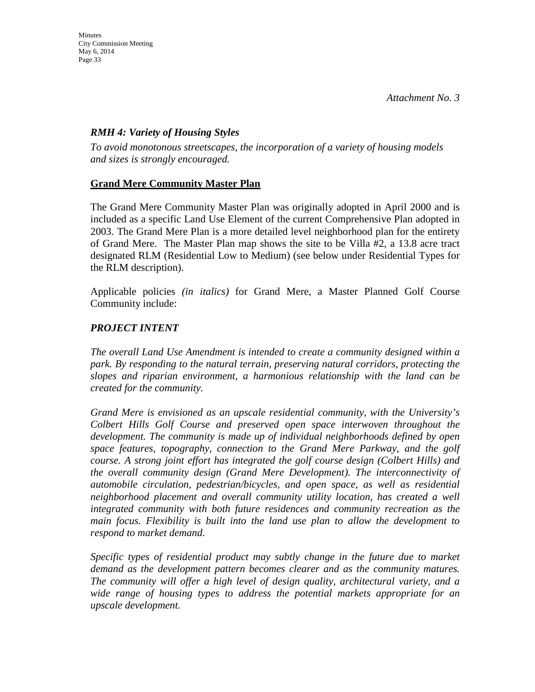# *RMH 4: Variety of Housing Styles*

*To avoid monotonous streetscapes, the incorporation of a variety of housing models and sizes is strongly encouraged.* 

# **Grand Mere Community Master Plan**

The Grand Mere Community Master Plan was originally adopted in April 2000 and is included as a specific Land Use Element of the current Comprehensive Plan adopted in 2003. The Grand Mere Plan is a more detailed level neighborhood plan for the entirety of Grand Mere. The Master Plan map shows the site to be Villa #2, a 13.8 acre tract designated RLM (Residential Low to Medium) (see below under Residential Types for the RLM description).

Applicable policies *(in italics)* for Grand Mere, a Master Planned Golf Course Community include:

# *PROJECT INTENT*

*The overall Land Use Amendment is intended to create a community designed within a park. By responding to the natural terrain, preserving natural corridors, protecting the slopes and riparian environment, a harmonious relationship with the land can be created for the community.*

*Grand Mere is envisioned as an upscale residential community, with the University's Colbert Hills Golf Course and preserved open space interwoven throughout the development. The community is made up of individual neighborhoods defined by open space features, topography, connection to the Grand Mere Parkway, and the golf course. A strong joint effort has integrated the golf course design (Colbert Hills) and the overall community design (Grand Mere Development). The interconnectivity of automobile circulation, pedestrian/bicycles, and open space, as well as residential neighborhood placement and overall community utility location, has created a well integrated community with both future residences and community recreation as the main focus. Flexibility is built into the land use plan to allow the development to respond to market demand.* 

*Specific types of residential product may subtly change in the future due to market demand as the development pattern becomes clearer and as the community matures. The community will offer a high level of design quality, architectural variety, and a wide range of housing types to address the potential markets appropriate for an upscale development.*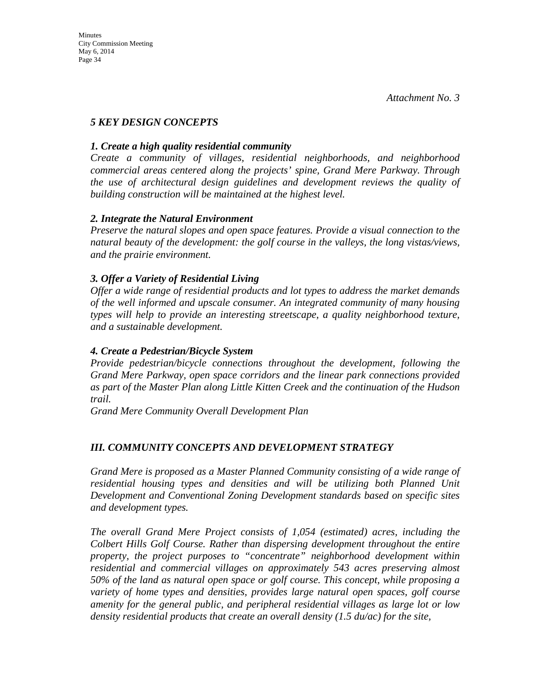# *5 KEY DESIGN CONCEPTS*

# *1. Create a high quality residential community*

*Create a community of villages, residential neighborhoods, and neighborhood commercial areas centered along the projects' spine, Grand Mere Parkway. Through the use of architectural design guidelines and development reviews the quality of building construction will be maintained at the highest level.* 

# *2. Integrate the Natural Environment*

*Preserve the natural slopes and open space features. Provide a visual connection to the natural beauty of the development: the golf course in the valleys, the long vistas/views, and the prairie environment.* 

# *3. Offer a Variety of Residential Living*

*Offer a wide range of residential products and lot types to address the market demands of the well informed and upscale consumer. An integrated community of many housing types will help to provide an interesting streetscape, a quality neighborhood texture, and a sustainable development.* 

# *4. Create a Pedestrian/Bicycle System*

*Provide pedestrian/bicycle connections throughout the development, following the Grand Mere Parkway, open space corridors and the linear park connections provided as part of the Master Plan along Little Kitten Creek and the continuation of the Hudson trail.* 

*Grand Mere Community Overall Development Plan* 

# *III. COMMUNITY CONCEPTS AND DEVELOPMENT STRATEGY*

*Grand Mere is proposed as a Master Planned Community consisting of a wide range of residential housing types and densities and will be utilizing both Planned Unit Development and Conventional Zoning Development standards based on specific sites and development types.* 

*The overall Grand Mere Project consists of 1,054 (estimated) acres, including the Colbert Hills Golf Course. Rather than dispersing development throughout the entire property, the project purposes to "concentrate" neighborhood development within residential and commercial villages on approximately 543 acres preserving almost 50% of the land as natural open space or golf course. This concept, while proposing a variety of home types and densities, provides large natural open spaces, golf course amenity for the general public, and peripheral residential villages as large lot or low density residential products that create an overall density (1.5 du/ac) for the site,*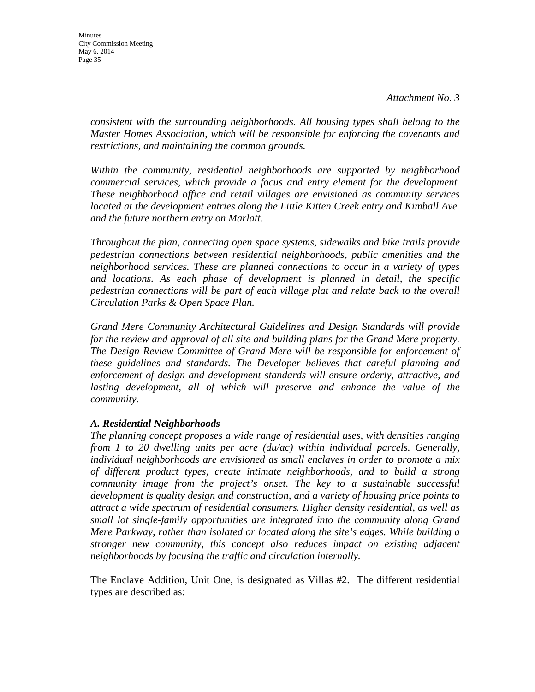*consistent with the surrounding neighborhoods. All housing types shall belong to the Master Homes Association, which will be responsible for enforcing the covenants and restrictions, and maintaining the common grounds.* 

*Within the community, residential neighborhoods are supported by neighborhood commercial services, which provide a focus and entry element for the development. These neighborhood office and retail villages are envisioned as community services*  located at the development entries along the Little Kitten Creek entry and Kimball Ave. *and the future northern entry on Marlatt.* 

*Throughout the plan, connecting open space systems, sidewalks and bike trails provide pedestrian connections between residential neighborhoods, public amenities and the neighborhood services. These are planned connections to occur in a variety of types and locations. As each phase of development is planned in detail, the specific pedestrian connections will be part of each village plat and relate back to the overall Circulation Parks & Open Space Plan.* 

*Grand Mere Community Architectural Guidelines and Design Standards will provide for the review and approval of all site and building plans for the Grand Mere property. The Design Review Committee of Grand Mere will be responsible for enforcement of these guidelines and standards. The Developer believes that careful planning and enforcement of design and development standards will ensure orderly, attractive, and lasting development, all of which will preserve and enhance the value of the community.* 

# *A. Residential Neighborhoods*

*The planning concept proposes a wide range of residential uses, with densities ranging from 1 to 20 dwelling units per acre (du/ac) within individual parcels. Generally, individual neighborhoods are envisioned as small enclaves in order to promote a mix of different product types, create intimate neighborhoods, and to build a strong community image from the project's onset. The key to a sustainable successful development is quality design and construction, and a variety of housing price points to attract a wide spectrum of residential consumers. Higher density residential, as well as small lot single-family opportunities are integrated into the community along Grand Mere Parkway, rather than isolated or located along the site's edges. While building a stronger new community, this concept also reduces impact on existing adjacent neighborhoods by focusing the traffic and circulation internally.* 

The Enclave Addition, Unit One, is designated as Villas #2. The different residential types are described as: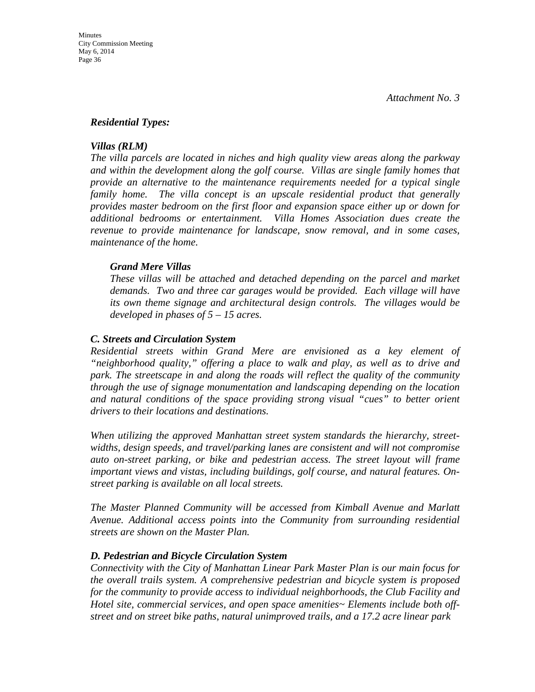#### *Residential Types:*

#### *Villas (RLM)*

*The villa parcels are located in niches and high quality view areas along the parkway and within the development along the golf course. Villas are single family homes that provide an alternative to the maintenance requirements needed for a typical single family home. The villa concept is an upscale residential product that generally provides master bedroom on the first floor and expansion space either up or down for additional bedrooms or entertainment. Villa Homes Association dues create the revenue to provide maintenance for landscape, snow removal, and in some cases, maintenance of the home.* 

#### *Grand Mere Villas*

*These villas will be attached and detached depending on the parcel and market demands. Two and three car garages would be provided. Each village will have its own theme signage and architectural design controls. The villages would be developed in phases of 5 – 15 acres.* 

#### *C. Streets and Circulation System*

*Residential streets within Grand Mere are envisioned as a key element of "neighborhood quality," offering a place to walk and play, as well as to drive and park. The streetscape in and along the roads will reflect the quality of the community through the use of signage monumentation and landscaping depending on the location and natural conditions of the space providing strong visual "cues" to better orient drivers to their locations and destinations.* 

*When utilizing the approved Manhattan street system standards the hierarchy, streetwidths, design speeds, and travel/parking lanes are consistent and will not compromise auto on-street parking, or bike and pedestrian access. The street layout will frame important views and vistas, including buildings, golf course, and natural features. Onstreet parking is available on all local streets.* 

*The Master Planned Community will be accessed from Kimball Avenue and Marlatt Avenue. Additional access points into the Community from surrounding residential streets are shown on the Master Plan.* 

### *D. Pedestrian and Bicycle Circulation System*

*Connectivity with the City of Manhattan Linear Park Master Plan is our main focus for the overall trails system. A comprehensive pedestrian and bicycle system is proposed for the community to provide access to individual neighborhoods, the Club Facility and Hotel site, commercial services, and open space amenities~ Elements include both offstreet and on street bike paths, natural unimproved trails, and a 17.2 acre linear park*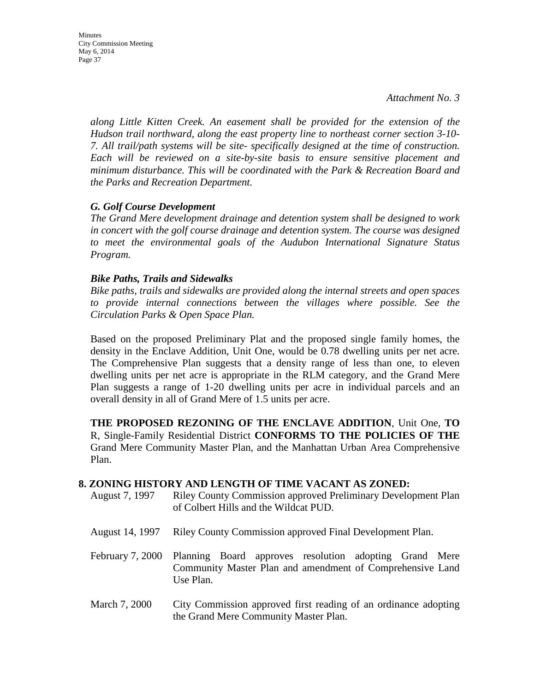*along Little Kitten Creek. An easement shall be provided for the extension of the Hudson trail northward, along the east property line to northeast corner section 3-10- 7. All trail/path systems will be site- specifically designed at the time of construction. Each will be reviewed on a site-by-site basis to ensure sensitive placement and minimum disturbance. This will be coordinated with the Park & Recreation Board and the Parks and Recreation Department.* 

### *G. Golf Course Development*

*The Grand Mere development drainage and detention system shall be designed to work in concert with the golf course drainage and detention system. The course was designed to meet the environmental goals of the Audubon International Signature Status Program.* 

### *Bike Paths, Trails and Sidewalks*

*Bike paths, trails and sidewalks are provided along the internal streets and open spaces to provide internal connections between the villages where possible. See the Circulation Parks & Open Space Plan.* 

Based on the proposed Preliminary Plat and the proposed single family homes, the density in the Enclave Addition, Unit One, would be 0.78 dwelling units per net acre. The Comprehensive Plan suggests that a density range of less than one, to eleven dwelling units per net acre is appropriate in the RLM category, and the Grand Mere Plan suggests a range of 1-20 dwelling units per acre in individual parcels and an overall density in all of Grand Mere of 1.5 units per acre.

**THE PROPOSED REZONING OF THE ENCLAVE ADDITION**, Unit One, **TO**  R, Single-Family Residential District **CONFORMS TO THE POLICIES OF THE**  Grand Mere Community Master Plan, and the Manhattan Urban Area Comprehensive Plan.

### **8. ZONING HISTORY AND LENGTH OF TIME VACANT AS ZONED:**

- August 7, 1997 Riley County Commission approved Preliminary Development Plan of Colbert Hills and the Wildcat PUD.
- August 14, 1997 Riley County Commission approved Final Development Plan.
- February 7, 2000 Planning Board approves resolution adopting Grand Mere Community Master Plan and amendment of Comprehensive Land Use Plan.
- March 7, 2000 City Commission approved first reading of an ordinance adopting the Grand Mere Community Master Plan.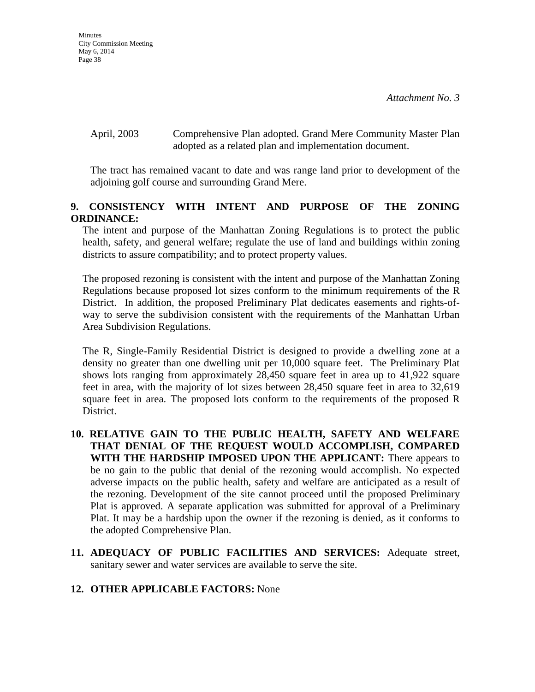April, 2003 Comprehensive Plan adopted. Grand Mere Community Master Plan adopted as a related plan and implementation document.

The tract has remained vacant to date and was range land prior to development of the adjoining golf course and surrounding Grand Mere.

# **9. CONSISTENCY WITH INTENT AND PURPOSE OF THE ZONING ORDINANCE:**

The intent and purpose of the Manhattan Zoning Regulations is to protect the public health, safety, and general welfare; regulate the use of land and buildings within zoning districts to assure compatibility; and to protect property values.

The proposed rezoning is consistent with the intent and purpose of the Manhattan Zoning Regulations because proposed lot sizes conform to the minimum requirements of the R District. In addition, the proposed Preliminary Plat dedicates easements and rights-ofway to serve the subdivision consistent with the requirements of the Manhattan Urban Area Subdivision Regulations.

The R, Single-Family Residential District is designed to provide a dwelling zone at a density no greater than one dwelling unit per 10,000 square feet. The Preliminary Plat shows lots ranging from approximately 28,450 square feet in area up to 41,922 square feet in area, with the majority of lot sizes between 28,450 square feet in area to 32,619 square feet in area. The proposed lots conform to the requirements of the proposed R District.

- **10. RELATIVE GAIN TO THE PUBLIC HEALTH, SAFETY AND WELFARE THAT DENIAL OF THE REQUEST WOULD ACCOMPLISH, COMPARED WITH THE HARDSHIP IMPOSED UPON THE APPLICANT:** There appears to be no gain to the public that denial of the rezoning would accomplish. No expected adverse impacts on the public health, safety and welfare are anticipated as a result of the rezoning. Development of the site cannot proceed until the proposed Preliminary Plat is approved. A separate application was submitted for approval of a Preliminary Plat. It may be a hardship upon the owner if the rezoning is denied, as it conforms to the adopted Comprehensive Plan.
- **11. ADEQUACY OF PUBLIC FACILITIES AND SERVICES:** Adequate street, sanitary sewer and water services are available to serve the site.

# **12. OTHER APPLICABLE FACTORS:** None